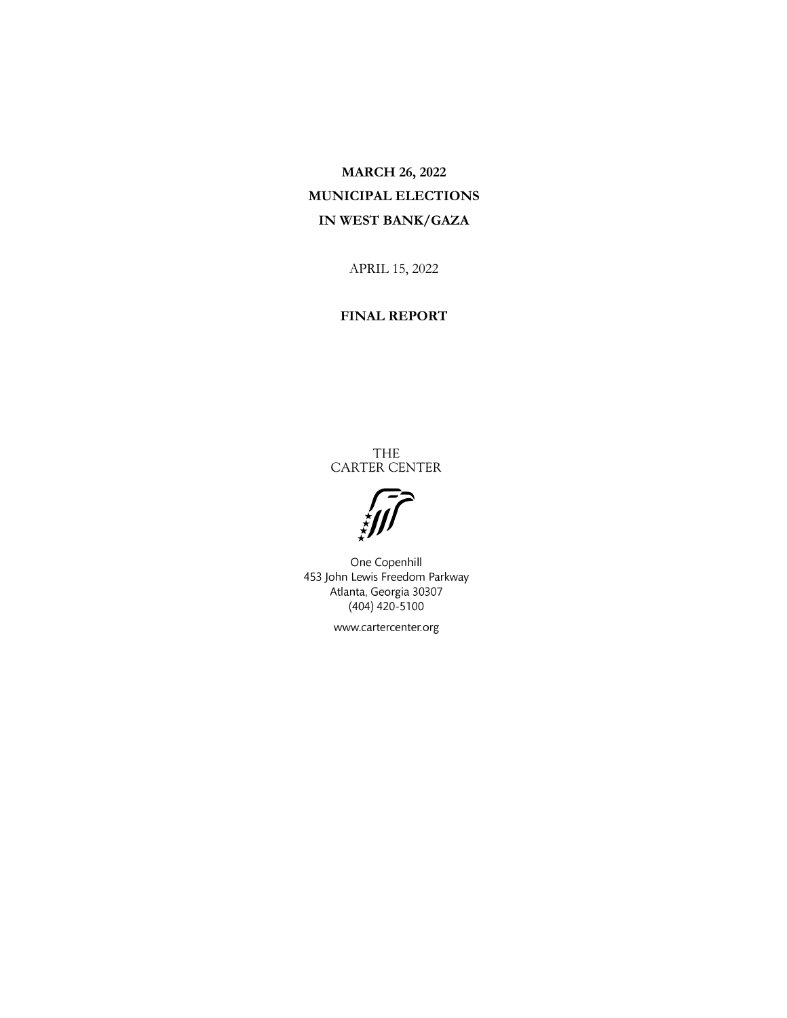# **MARCH 26, 2022 MUNICIPAL ELECTIONS IN WEST BANK/GAZA**

APRIL 15, 2022

#### **FINAL REPORT**

THE CARTER CENTER



One Copenhill 453 John Lewis Freedom Parkway Atlanta, Georgia 30307  $(404)$  420-5100

www.cartercenter.org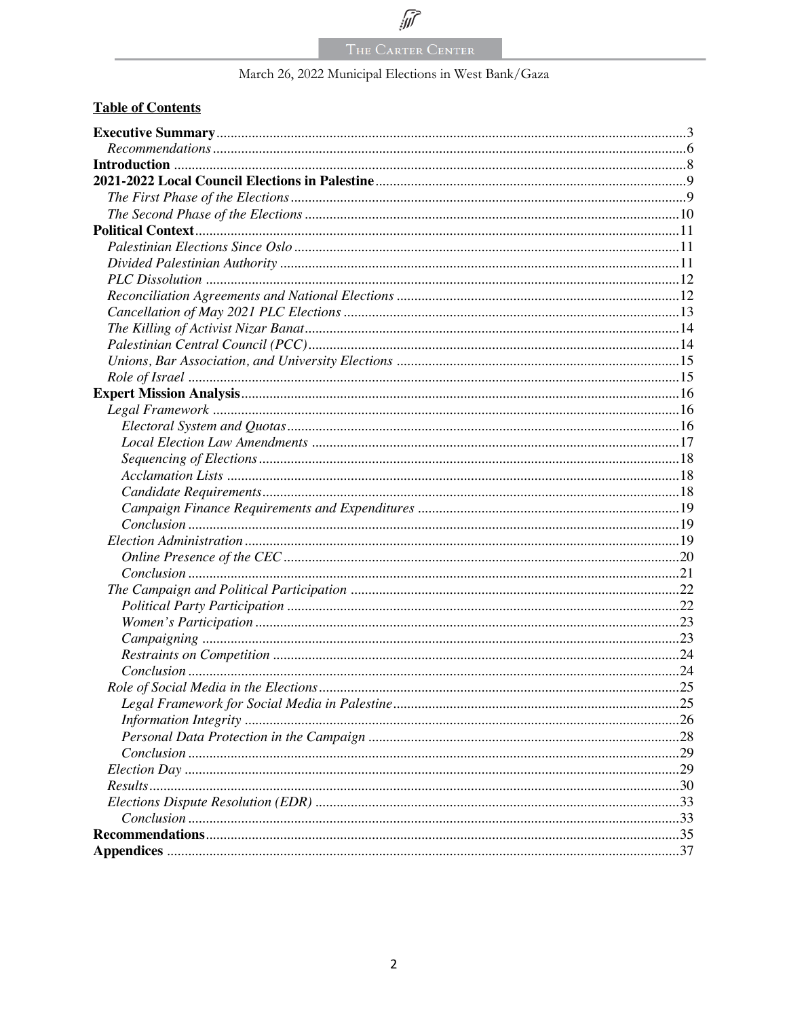# $\sqrt{\hat{y}}$

# March 26, 2022 Municipal Elections in West Bank/Gaza

# **Table of Contents**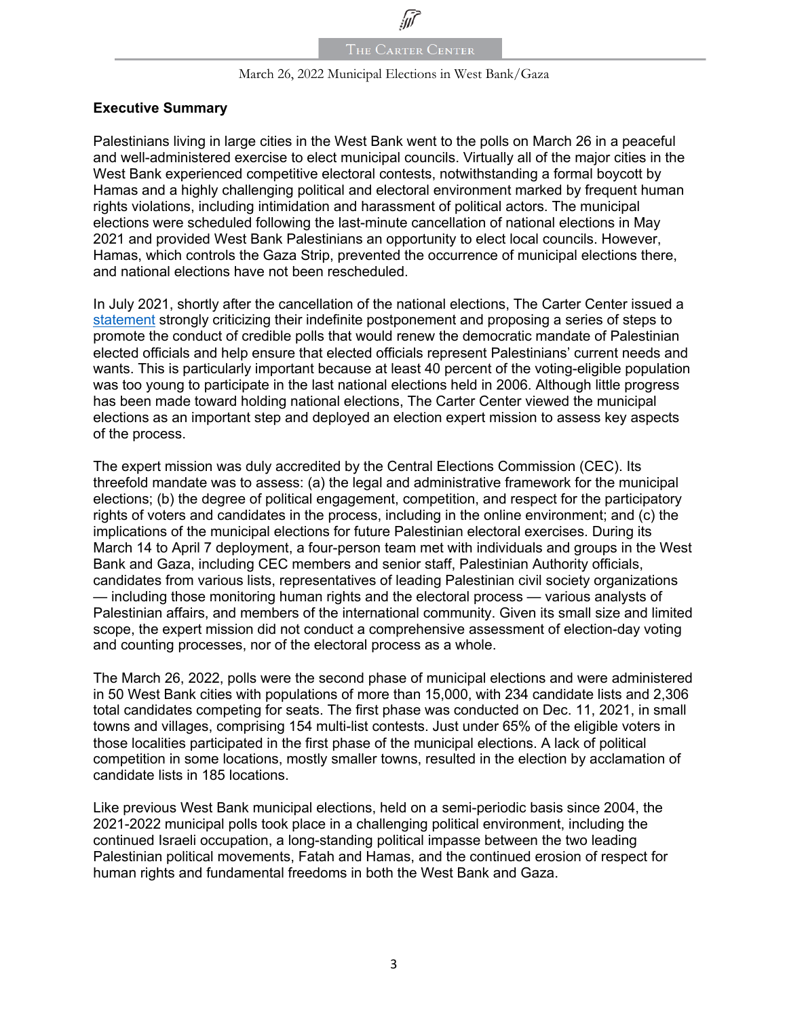#### March 26, 2022 Municipal Elections in West Bank/Gaza

### **Executive Summary**

Palestinians living in large cities in the West Bank went to the polls on March 26 in a peaceful and well-administered exercise to elect municipal councils. Virtually all of the major cities in the West Bank experienced competitive electoral contests, notwithstanding a formal boycott by Hamas and a highly challenging political and electoral environment marked by frequent human rights violations, including intimidation and harassment of political actors. The municipal elections were scheduled following the last-minute cancellation of national elections in May 2021 and provided West Bank Palestinians an opportunity to elect local councils. However, Hamas, which controls the Gaza Strip, prevented the occurrence of municipal elections there, and national elections have not been rescheduled.

In July 2021, shortly after the cancellation of the national elections, The Carter Center issued a statement strongly criticizing their indefinite postponement and proposing a series of steps to promote the conduct of credible polls that would renew the democratic mandate of Palestinian elected officials and help ensure that elected officials represent Palestinians' current needs and wants. This is particularly important because at least 40 percent of the voting-eligible population was too young to participate in the last national elections held in 2006. Although little progress has been made toward holding national elections, The Carter Center viewed the municipal elections as an important step and deployed an election expert mission to assess key aspects of the process.

The expert mission was duly accredited by the Central Elections Commission (CEC). Its threefold mandate was to assess: (a) the legal and administrative framework for the municipal elections; (b) the degree of political engagement, competition, and respect for the participatory rights of voters and candidates in the process, including in the online environment; and (c) the implications of the municipal elections for future Palestinian electoral exercises. During its March 14 to April 7 deployment, a four-person team met with individuals and groups in the West Bank and Gaza, including CEC members and senior staff, Palestinian Authority officials, candidates from various lists, representatives of leading Palestinian civil society organizations — including those monitoring human rights and the electoral process — various analysts of Palestinian affairs, and members of the international community. Given its small size and limited scope, the expert mission did not conduct a comprehensive assessment of election-day voting and counting processes, nor of the electoral process as a whole.

The March 26, 2022, polls were the second phase of municipal elections and were administered in 50 West Bank cities with populations of more than 15,000, with 234 candidate lists and 2,306 total candidates competing for seats. The first phase was conducted on Dec. 11, 2021, in small towns and villages, comprising 154 multi-list contests. Just under 65% of the eligible voters in those localities participated in the first phase of the municipal elections. A lack of political competition in some locations, mostly smaller towns, resulted in the election by acclamation of candidate lists in 185 locations.

Like previous West Bank municipal elections, held on a semi-periodic basis since 2004, the 2021-2022 municipal polls took place in a challenging political environment, including the continued Israeli occupation, a long-standing political impasse between the two leading Palestinian political movements, Fatah and Hamas, and the continued erosion of respect for human rights and fundamental freedoms in both the West Bank and Gaza.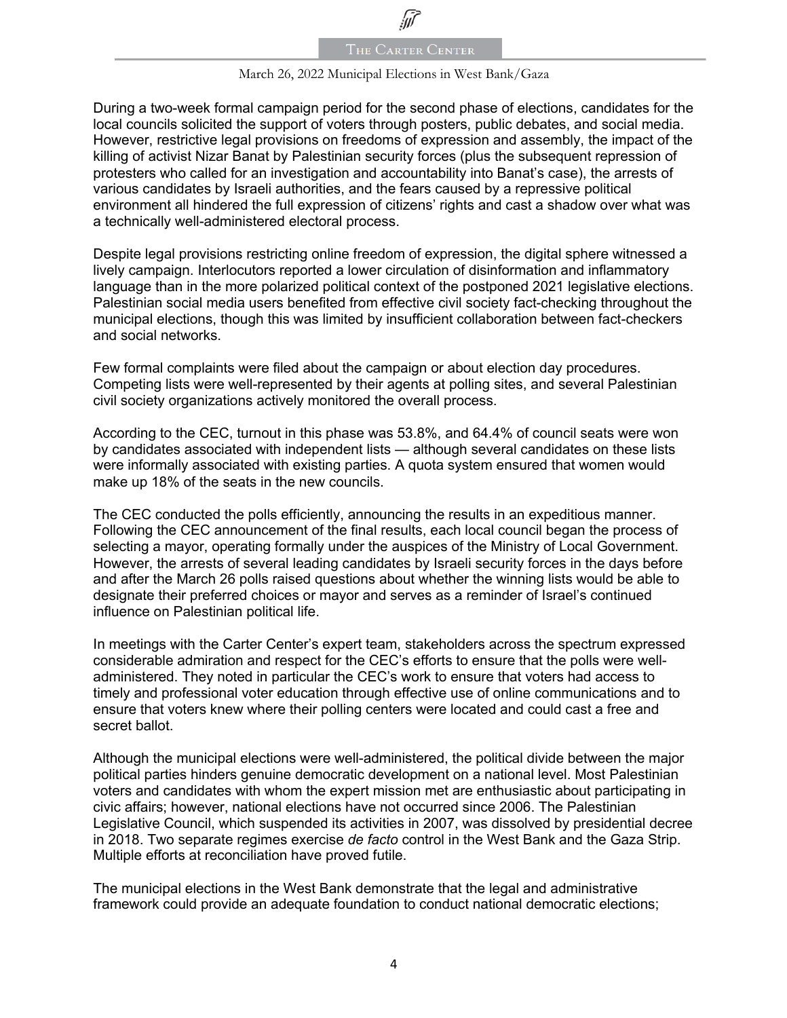#### March 26, 2022 Municipal Elections in West Bank/Gaza

During a two-week formal campaign period for the second phase of elections, candidates for the local councils solicited the support of voters through posters, public debates, and social media. However, restrictive legal provisions on freedoms of expression and assembly, the impact of the killing of activist Nizar Banat by Palestinian security forces (plus the subsequent repression of protesters who called for an investigation and accountability into Banat's case), the arrests of various candidates by Israeli authorities, and the fears caused by a repressive political environment all hindered the full expression of citizens' rights and cast a shadow over what was a technically well-administered electoral process.

Despite legal provisions restricting online freedom of expression, the digital sphere witnessed a lively campaign. Interlocutors reported a lower circulation of disinformation and inflammatory language than in the more polarized political context of the postponed 2021 legislative elections. Palestinian social media users benefited from effective civil society fact-checking throughout the municipal elections, though this was limited by insufficient collaboration between fact-checkers and social networks.

Few formal complaints were filed about the campaign or about election day procedures. Competing lists were well-represented by their agents at polling sites, and several Palestinian civil society organizations actively monitored the overall process.

According to the CEC, turnout in this phase was 53.8%, and 64.4% of council seats were won by candidates associated with independent lists — although several candidates on these lists were informally associated with existing parties. A quota system ensured that women would make up 18% of the seats in the new councils.

The CEC conducted the polls efficiently, announcing the results in an expeditious manner. Following the CEC announcement of the final results, each local council began the process of selecting a mayor, operating formally under the auspices of the Ministry of Local Government. However, the arrests of several leading candidates by Israeli security forces in the days before and after the March 26 polls raised questions about whether the winning lists would be able to designate their preferred choices or mayor and serves as a reminder of Israel's continued influence on Palestinian political life.

In meetings with the Carter Center's expert team, stakeholders across the spectrum expressed considerable admiration and respect for the CEC's efforts to ensure that the polls were welladministered. They noted in particular the CEC's work to ensure that voters had access to timely and professional voter education through effective use of online communications and to ensure that voters knew where their polling centers were located and could cast a free and secret ballot.

Although the municipal elections were well-administered, the political divide between the major political parties hinders genuine democratic development on a national level. Most Palestinian voters and candidates with whom the expert mission met are enthusiastic about participating in civic affairs; however, national elections have not occurred since 2006. The Palestinian Legislative Council, which suspended its activities in 2007, was dissolved by presidential decree in 2018. Two separate regimes exercise *de facto* control in the West Bank and the Gaza Strip. Multiple efforts at reconciliation have proved futile.

The municipal elections in the West Bank demonstrate that the legal and administrative framework could provide an adequate foundation to conduct national democratic elections;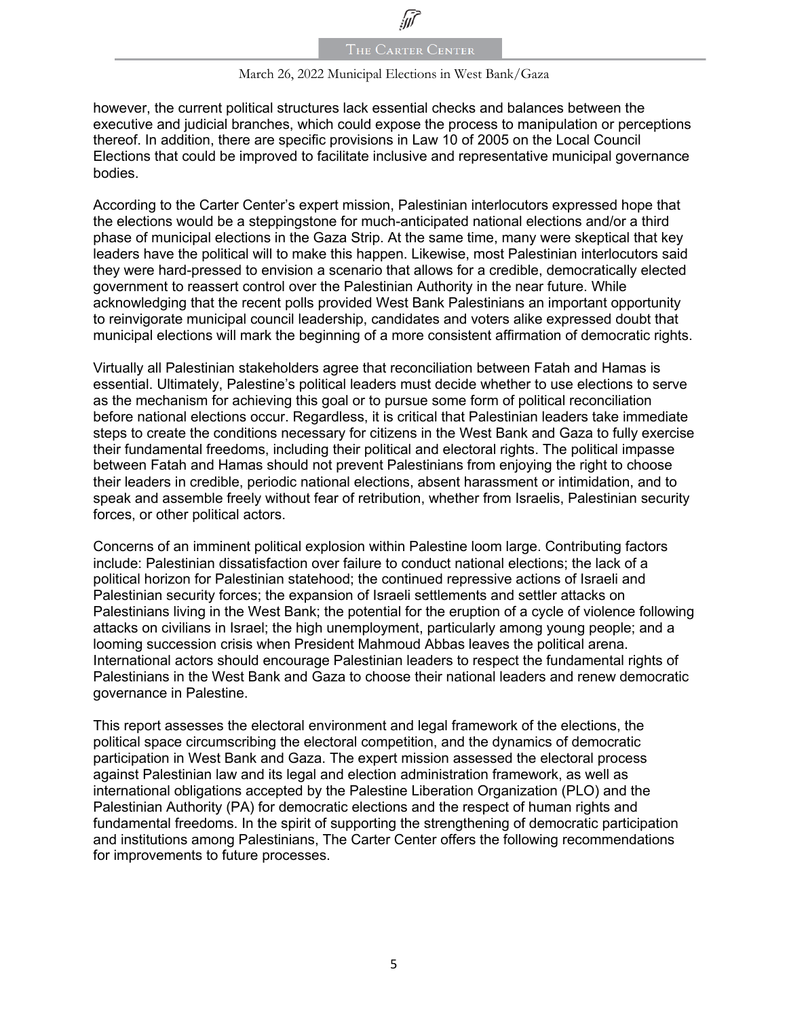#### March 26, 2022 Municipal Elections in West Bank/Gaza

however, the current political structures lack essential checks and balances between the executive and judicial branches, which could expose the process to manipulation or perceptions thereof. In addition, there are specific provisions in Law 10 of 2005 on the Local Council Elections that could be improved to facilitate inclusive and representative municipal governance bodies.

According to the Carter Center's expert mission, Palestinian interlocutors expressed hope that the elections would be a steppingstone for much-anticipated national elections and/or a third phase of municipal elections in the Gaza Strip. At the same time, many were skeptical that key leaders have the political will to make this happen. Likewise, most Palestinian interlocutors said they were hard-pressed to envision a scenario that allows for a credible, democratically elected government to reassert control over the Palestinian Authority in the near future. While acknowledging that the recent polls provided West Bank Palestinians an important opportunity to reinvigorate municipal council leadership, candidates and voters alike expressed doubt that municipal elections will mark the beginning of a more consistent affirmation of democratic rights.

Virtually all Palestinian stakeholders agree that reconciliation between Fatah and Hamas is essential. Ultimately, Palestine's political leaders must decide whether to use elections to serve as the mechanism for achieving this goal or to pursue some form of political reconciliation before national elections occur. Regardless, it is critical that Palestinian leaders take immediate steps to create the conditions necessary for citizens in the West Bank and Gaza to fully exercise their fundamental freedoms, including their political and electoral rights. The political impasse between Fatah and Hamas should not prevent Palestinians from enjoying the right to choose their leaders in credible, periodic national elections, absent harassment or intimidation, and to speak and assemble freely without fear of retribution, whether from Israelis, Palestinian security forces, or other political actors.

Concerns of an imminent political explosion within Palestine loom large. Contributing factors include: Palestinian dissatisfaction over failure to conduct national elections; the lack of a political horizon for Palestinian statehood; the continued repressive actions of Israeli and Palestinian security forces; the expansion of Israeli settlements and settler attacks on Palestinians living in the West Bank; the potential for the eruption of a cycle of violence following attacks on civilians in Israel; the high unemployment, particularly among young people; and a looming succession crisis when President Mahmoud Abbas leaves the political arena. International actors should encourage Palestinian leaders to respect the fundamental rights of Palestinians in the West Bank and Gaza to choose their national leaders and renew democratic governance in Palestine.

This report assesses the electoral environment and legal framework of the elections, the political space circumscribing the electoral competition, and the dynamics of democratic participation in West Bank and Gaza. The expert mission assessed the electoral process against Palestinian law and its legal and election administration framework, as well as international obligations accepted by the Palestine Liberation Organization (PLO) and the Palestinian Authority (PA) for democratic elections and the respect of human rights and fundamental freedoms. In the spirit of supporting the strengthening of democratic participation and institutions among Palestinians, The Carter Center offers the following recommendations for improvements to future processes.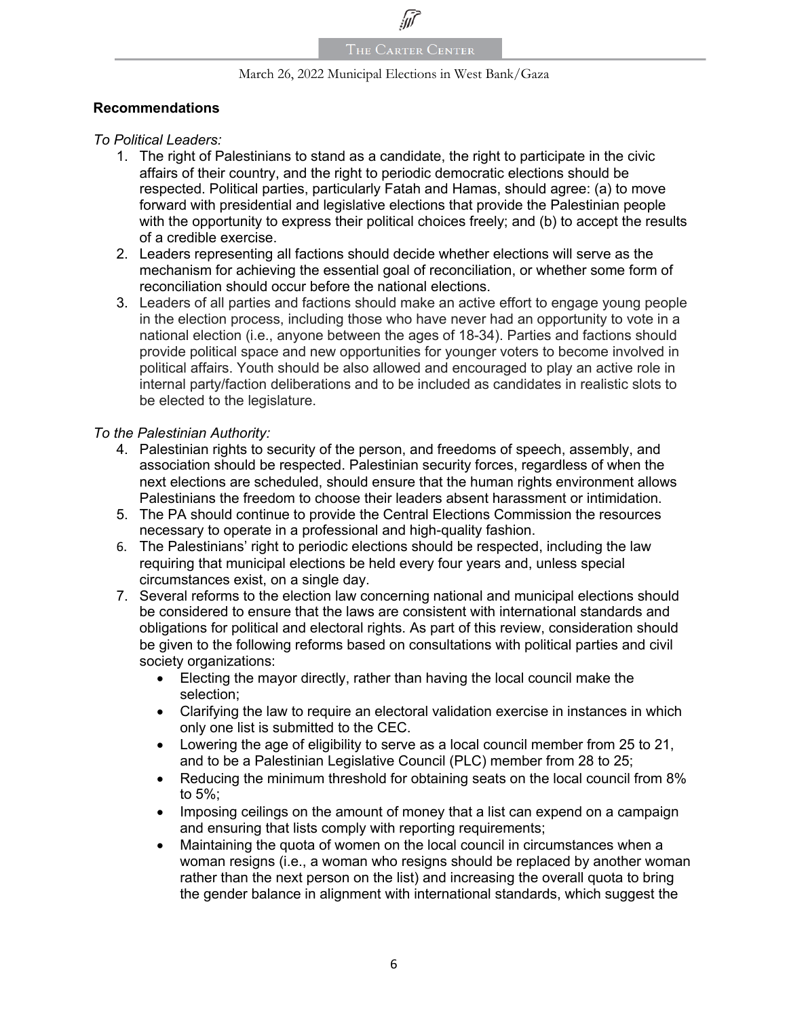#### **Recommendations**

*To Political Leaders:* 

- 1. The right of Palestinians to stand as a candidate, the right to participate in the civic affairs of their country, and the right to periodic democratic elections should be respected. Political parties, particularly Fatah and Hamas, should agree: (a) to move forward with presidential and legislative elections that provide the Palestinian people with the opportunity to express their political choices freely; and (b) to accept the results of a credible exercise.
- 2. Leaders representing all factions should decide whether elections will serve as the mechanism for achieving the essential goal of reconciliation, or whether some form of reconciliation should occur before the national elections.
- 3. Leaders of all parties and factions should make an active effort to engage young people in the election process, including those who have never had an opportunity to vote in a national election (i.e., anyone between the ages of 18-34). Parties and factions should provide political space and new opportunities for younger voters to become involved in political affairs. Youth should be also allowed and encouraged to play an active role in internal party/faction deliberations and to be included as candidates in realistic slots to be elected to the legislature.

#### *To the Palestinian Authority:*

- 4. Palestinian rights to security of the person, and freedoms of speech, assembly, and association should be respected. Palestinian security forces, regardless of when the next elections are scheduled, should ensure that the human rights environment allows Palestinians the freedom to choose their leaders absent harassment or intimidation.
- 5. The PA should continue to provide the Central Elections Commission the resources necessary to operate in a professional and high-quality fashion.
- 6. The Palestinians' right to periodic elections should be respected, including the law requiring that municipal elections be held every four years and, unless special circumstances exist, on a single day.
- 7. Several reforms to the election law concerning national and municipal elections should be considered to ensure that the laws are consistent with international standards and obligations for political and electoral rights. As part of this review, consideration should be given to the following reforms based on consultations with political parties and civil society organizations:
	- Electing the mayor directly, rather than having the local council make the selection;
	- Clarifying the law to require an electoral validation exercise in instances in which only one list is submitted to the CEC.
	- Lowering the age of eligibility to serve as a local council member from 25 to 21, and to be a Palestinian Legislative Council (PLC) member from 28 to 25;
	- Reducing the minimum threshold for obtaining seats on the local council from 8% to 5%;
	- Imposing ceilings on the amount of money that a list can expend on a campaign and ensuring that lists comply with reporting requirements;
	- Maintaining the quota of women on the local council in circumstances when a woman resigns (i.e., a woman who resigns should be replaced by another woman rather than the next person on the list) and increasing the overall quota to bring the gender balance in alignment with international standards, which suggest the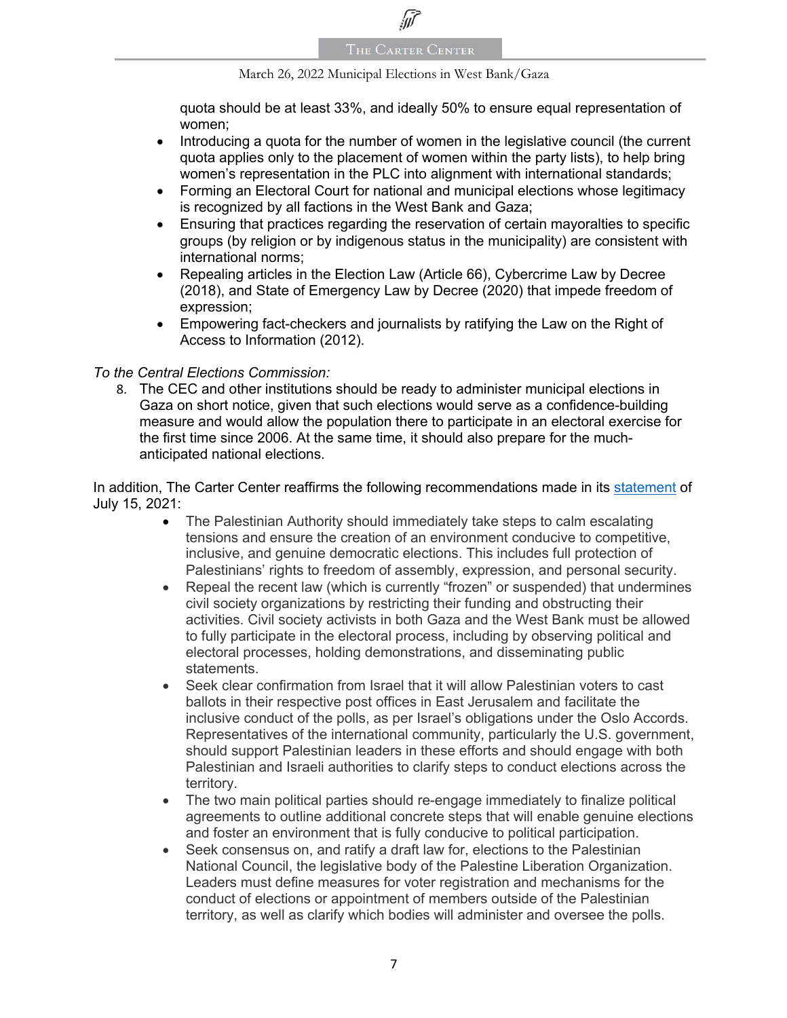quota should be at least 33%, and ideally 50% to ensure equal representation of women;

- Introducing a quota for the number of women in the legislative council (the current quota applies only to the placement of women within the party lists), to help bring women's representation in the PLC into alignment with international standards;
- Forming an Electoral Court for national and municipal elections whose legitimacy is recognized by all factions in the West Bank and Gaza;
- Ensuring that practices regarding the reservation of certain mayoralties to specific groups (by religion or by indigenous status in the municipality) are consistent with international norms;
- Repealing articles in the Election Law (Article 66), Cybercrime Law by Decree (2018), and State of Emergency Law by Decree (2020) that impede freedom of expression;
- Empowering fact-checkers and journalists by ratifying the Law on the Right of Access to Information (2012).

#### *To the Central Elections Commission:*

8. The CEC and other institutions should be ready to administer municipal elections in Gaza on short notice, given that such elections would serve as a confidence-building measure and would allow the population there to participate in an electoral exercise for the first time since 2006. At the same time, it should also prepare for the muchanticipated national elections.

In addition, The Carter Center reaffirms the following recommendations made in its statement of July 15, 2021:

- The Palestinian Authority should immediately take steps to calm escalating tensions and ensure the creation of an environment conducive to competitive, inclusive, and genuine democratic elections. This includes full protection of Palestinians' rights to freedom of assembly, expression, and personal security.
- Repeal the recent law (which is currently "frozen" or suspended) that undermines civil society organizations by restricting their funding and obstructing their activities. Civil society activists in both Gaza and the West Bank must be allowed to fully participate in the electoral process, including by observing political and electoral processes, holding demonstrations, and disseminating public statements.
- Seek clear confirmation from Israel that it will allow Palestinian voters to cast ballots in their respective post offices in East Jerusalem and facilitate the inclusive conduct of the polls, as per Israel's obligations under the Oslo Accords. Representatives of the international community, particularly the U.S. government, should support Palestinian leaders in these efforts and should engage with both Palestinian and Israeli authorities to clarify steps to conduct elections across the territory.
- The two main political parties should re-engage immediately to finalize political agreements to outline additional concrete steps that will enable genuine elections and foster an environment that is fully conducive to political participation.
- Seek consensus on, and ratify a draft law for, elections to the Palestinian National Council, the legislative body of the Palestine Liberation Organization. Leaders must define measures for voter registration and mechanisms for the conduct of elections or appointment of members outside of the Palestinian territory, as well as clarify which bodies will administer and oversee the polls.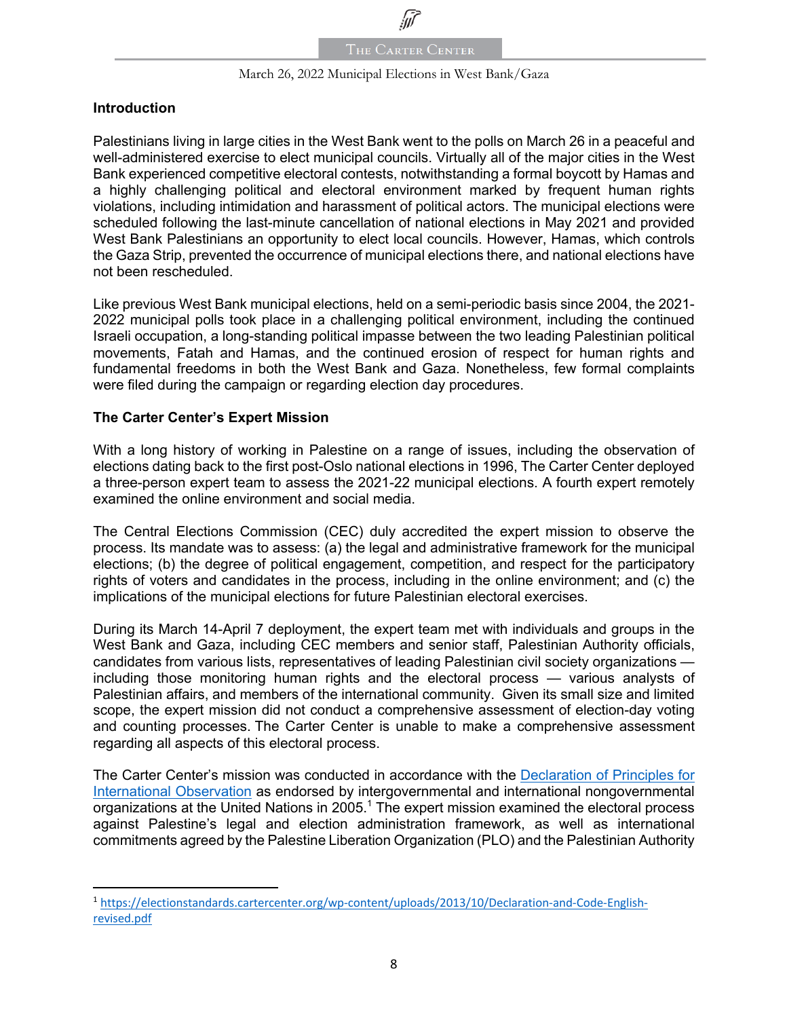### **Introduction**

Palestinians living in large cities in the West Bank went to the polls on March 26 in a peaceful and well-administered exercise to elect municipal councils. Virtually all of the major cities in the West Bank experienced competitive electoral contests, notwithstanding a formal boycott by Hamas and a highly challenging political and electoral environment marked by frequent human rights violations, including intimidation and harassment of political actors. The municipal elections were scheduled following the last-minute cancellation of national elections in May 2021 and provided West Bank Palestinians an opportunity to elect local councils. However, Hamas, which controls the Gaza Strip, prevented the occurrence of municipal elections there, and national elections have not been rescheduled.

Like previous West Bank municipal elections, held on a semi-periodic basis since 2004, the 2021- 2022 municipal polls took place in a challenging political environment, including the continued Israeli occupation, a long-standing political impasse between the two leading Palestinian political movements, Fatah and Hamas, and the continued erosion of respect for human rights and fundamental freedoms in both the West Bank and Gaza. Nonetheless, few formal complaints were filed during the campaign or regarding election day procedures.

### **The Carter Center's Expert Mission**

With a long history of working in Palestine on a range of issues, including the observation of elections dating back to the first post-Oslo national elections in 1996, The Carter Center deployed a three-person expert team to assess the 2021-22 municipal elections. A fourth expert remotely examined the online environment and social media.

The Central Elections Commission (CEC) duly accredited the expert mission to observe the process. Its mandate was to assess: (a) the legal and administrative framework for the municipal elections; (b) the degree of political engagement, competition, and respect for the participatory rights of voters and candidates in the process, including in the online environment; and (c) the implications of the municipal elections for future Palestinian electoral exercises.

During its March 14-April 7 deployment, the expert team met with individuals and groups in the West Bank and Gaza, including CEC members and senior staff, Palestinian Authority officials, candidates from various lists, representatives of leading Palestinian civil society organizations including those monitoring human rights and the electoral process — various analysts of Palestinian affairs, and members of the international community. Given its small size and limited scope, the expert mission did not conduct a comprehensive assessment of election-day voting and counting processes. The Carter Center is unable to make a comprehensive assessment regarding all aspects of this electoral process.

The Carter Center's mission was conducted in accordance with the Declaration of Principles for International Observation as endorsed by intergovernmental and international nongovernmental organizations at the United Nations in 2005.<sup>1</sup> The expert mission examined the electoral process against Palestine's legal and election administration framework, as well as international commitments agreed by the Palestine Liberation Organization (PLO) and the Palestinian Authority

<sup>1</sup> https://electionstandards.cartercenter.org/wp-content/uploads/2013/10/Declaration-and-Code-Englishrevised.pdf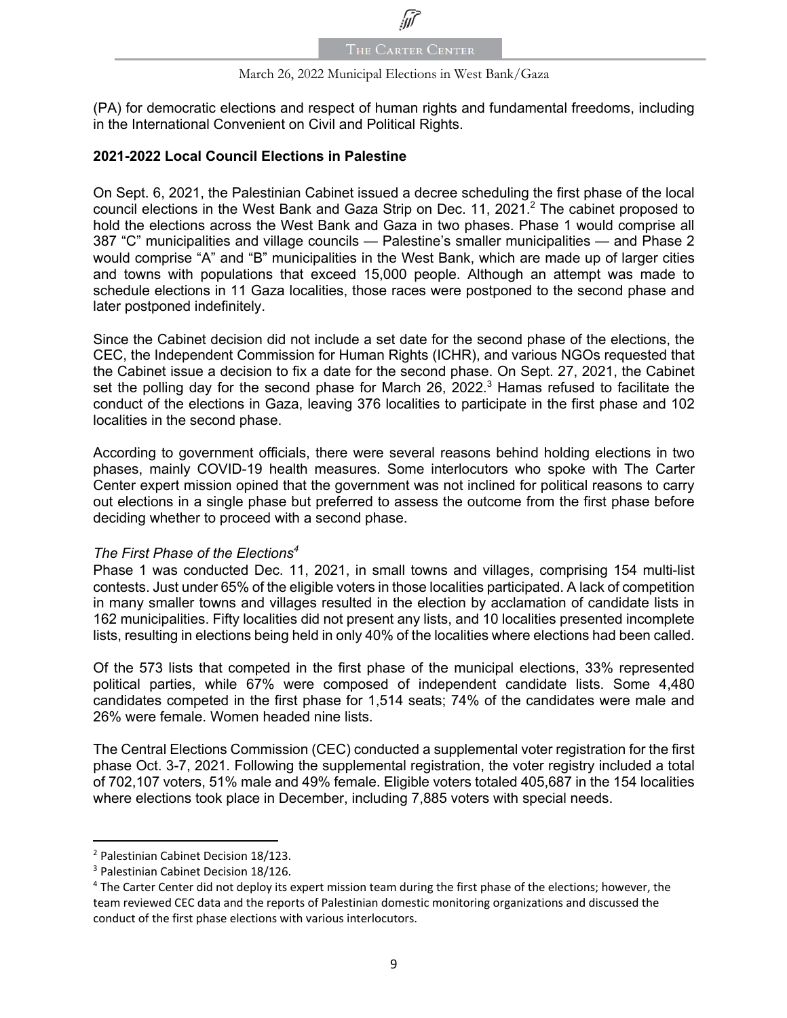

(PA) for democratic elections and respect of human rights and fundamental freedoms, including in the International Convenient on Civil and Political Rights.

#### **2021-2022 Local Council Elections in Palestine**

On Sept. 6, 2021, the Palestinian Cabinet issued a decree scheduling the first phase of the local council elections in the West Bank and Gaza Strip on Dec. 11, 2021.<sup>2</sup> The cabinet proposed to hold the elections across the West Bank and Gaza in two phases. Phase 1 would comprise all 387 "C" municipalities and village councils — Palestine's smaller municipalities — and Phase 2 would comprise "A" and "B" municipalities in the West Bank, which are made up of larger cities and towns with populations that exceed 15,000 people. Although an attempt was made to schedule elections in 11 Gaza localities, those races were postponed to the second phase and later postponed indefinitely.

Since the Cabinet decision did not include a set date for the second phase of the elections, the CEC, the Independent Commission for Human Rights (ICHR), and various NGOs requested that the Cabinet issue a decision to fix a date for the second phase. On Sept. 27, 2021, the Cabinet set the polling day for the second phase for March 26, 2022. $3$  Hamas refused to facilitate the conduct of the elections in Gaza, leaving 376 localities to participate in the first phase and 102 localities in the second phase.

According to government officials, there were several reasons behind holding elections in two phases, mainly COVID-19 health measures. Some interlocutors who spoke with The Carter Center expert mission opined that the government was not inclined for political reasons to carry out elections in a single phase but preferred to assess the outcome from the first phase before deciding whether to proceed with a second phase.

#### *The First Phase of the Elections<sup>4</sup>*

Phase 1 was conducted Dec. 11, 2021, in small towns and villages, comprising 154 multi-list contests. Just under 65% of the eligible voters in those localities participated. A lack of competition in many smaller towns and villages resulted in the election by acclamation of candidate lists in 162 municipalities. Fifty localities did not present any lists, and 10 localities presented incomplete lists, resulting in elections being held in only 40% of the localities where elections had been called.

Of the 573 lists that competed in the first phase of the municipal elections, 33% represented political parties, while 67% were composed of independent candidate lists. Some 4,480 candidates competed in the first phase for 1,514 seats; 74% of the candidates were male and 26% were female. Women headed nine lists.

The Central Elections Commission (CEC) conducted a supplemental voter registration for the first phase Oct. 3-7, 2021. Following the supplemental registration, the voter registry included a total of 702,107 voters, 51% male and 49% female. Eligible voters totaled 405,687 in the 154 localities where elections took place in December, including 7,885 voters with special needs.

<sup>2</sup> Palestinian Cabinet Decision 18/123.

<sup>3</sup> Palestinian Cabinet Decision 18/126.

<sup>&</sup>lt;sup>4</sup> The Carter Center did not deploy its expert mission team during the first phase of the elections; however, the team reviewed CEC data and the reports of Palestinian domestic monitoring organizations and discussed the conduct of the first phase elections with various interlocutors.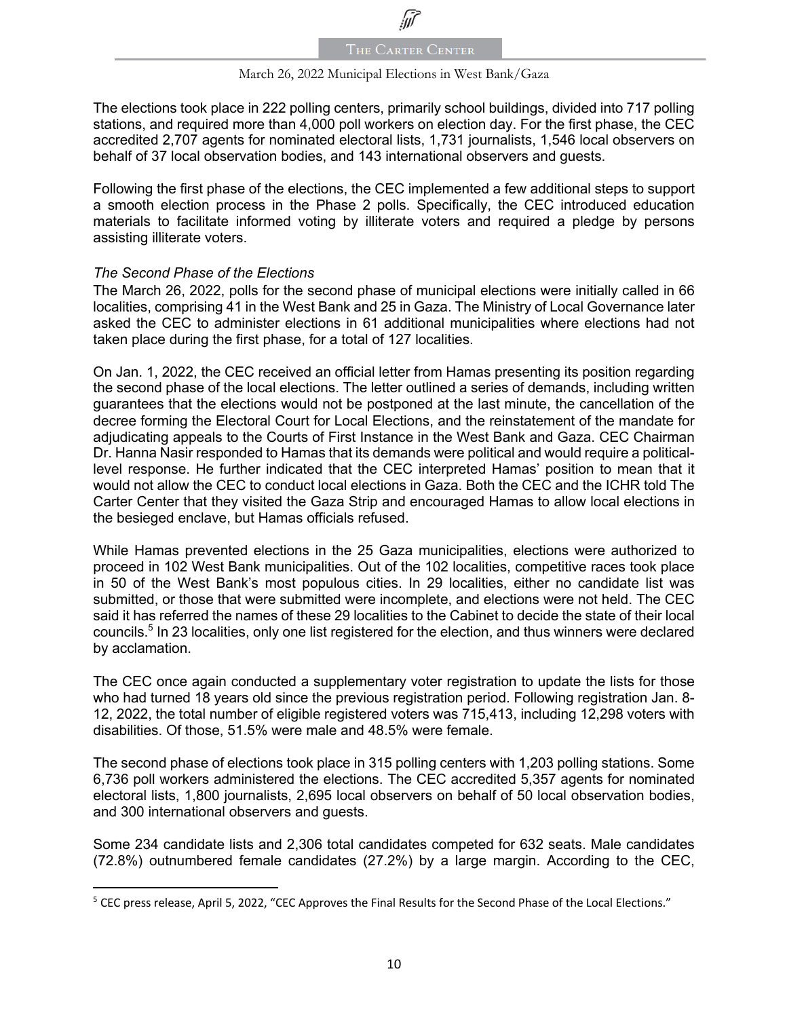

#### March 26, 2022 Municipal Elections in West Bank/Gaza

The elections took place in 222 polling centers, primarily school buildings, divided into 717 polling stations, and required more than 4,000 poll workers on election day. For the first phase, the CEC accredited 2,707 agents for nominated electoral lists, 1,731 journalists, 1,546 local observers on behalf of 37 local observation bodies, and 143 international observers and guests.

Following the first phase of the elections, the CEC implemented a few additional steps to support a smooth election process in the Phase 2 polls. Specifically, the CEC introduced education materials to facilitate informed voting by illiterate voters and required a pledge by persons assisting illiterate voters.

#### *The Second Phase of the Elections*

The March 26, 2022, polls for the second phase of municipal elections were initially called in 66 localities, comprising 41 in the West Bank and 25 in Gaza. The Ministry of Local Governance later asked the CEC to administer elections in 61 additional municipalities where elections had not taken place during the first phase, for a total of 127 localities.

On Jan. 1, 2022, the CEC received an official letter from Hamas presenting its position regarding the second phase of the local elections. The letter outlined a series of demands, including written guarantees that the elections would not be postponed at the last minute, the cancellation of the decree forming the Electoral Court for Local Elections, and the reinstatement of the mandate for adjudicating appeals to the Courts of First Instance in the West Bank and Gaza. CEC Chairman Dr. Hanna Nasir responded to Hamas that its demands were political and would require a politicallevel response. He further indicated that the CEC interpreted Hamas' position to mean that it would not allow the CEC to conduct local elections in Gaza. Both the CEC and the ICHR told The Carter Center that they visited the Gaza Strip and encouraged Hamas to allow local elections in the besieged enclave, but Hamas officials refused.

While Hamas prevented elections in the 25 Gaza municipalities, elections were authorized to proceed in 102 West Bank municipalities. Out of the 102 localities, competitive races took place in 50 of the West Bank's most populous cities. In 29 localities, either no candidate list was submitted, or those that were submitted were incomplete, and elections were not held. The CEC said it has referred the names of these 29 localities to the Cabinet to decide the state of their local councils.5 In 23 localities, only one list registered for the election, and thus winners were declared by acclamation.

The CEC once again conducted a supplementary voter registration to update the lists for those who had turned 18 years old since the previous registration period. Following registration Jan. 8- 12, 2022, the total number of eligible registered voters was 715,413, including 12,298 voters with disabilities. Of those, 51.5% were male and 48.5% were female.

The second phase of elections took place in 315 polling centers with 1,203 polling stations. Some 6,736 poll workers administered the elections. The CEC accredited 5,357 agents for nominated electoral lists, 1,800 journalists, 2,695 local observers on behalf of 50 local observation bodies, and 300 international observers and guests.

Some 234 candidate lists and 2,306 total candidates competed for 632 seats. Male candidates (72.8%) outnumbered female candidates (27.2%) by a large margin. According to the CEC,

<sup>5</sup> CEC press release, April 5, 2022, "CEC Approves the Final Results for the Second Phase of the Local Elections."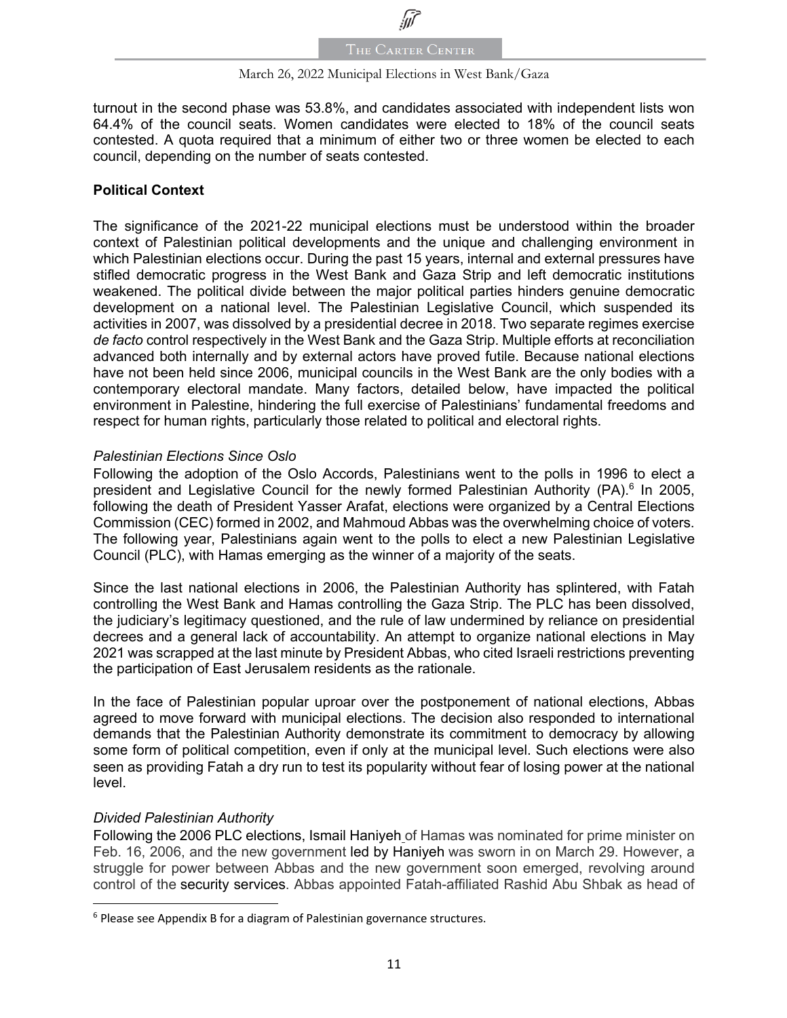

#### March 26, 2022 Municipal Elections in West Bank/Gaza

turnout in the second phase was 53.8%, and candidates associated with independent lists won 64.4% of the council seats. Women candidates were elected to 18% of the council seats contested. A quota required that a minimum of either two or three women be elected to each council, depending on the number of seats contested.

#### **Political Context**

The significance of the 2021-22 municipal elections must be understood within the broader context of Palestinian political developments and the unique and challenging environment in which Palestinian elections occur. During the past 15 years, internal and external pressures have stifled democratic progress in the West Bank and Gaza Strip and left democratic institutions weakened. The political divide between the major political parties hinders genuine democratic development on a national level. The Palestinian Legislative Council, which suspended its activities in 2007, was dissolved by a presidential decree in 2018. Two separate regimes exercise *de facto* control respectively in the West Bank and the Gaza Strip. Multiple efforts at reconciliation advanced both internally and by external actors have proved futile. Because national elections have not been held since 2006, municipal councils in the West Bank are the only bodies with a contemporary electoral mandate. Many factors, detailed below, have impacted the political environment in Palestine, hindering the full exercise of Palestinians' fundamental freedoms and respect for human rights, particularly those related to political and electoral rights.

#### *Palestinian Elections Since Oslo*

Following the adoption of the Oslo Accords, Palestinians went to the polls in 1996 to elect a president and Legislative Council for the newly formed Palestinian Authority (PA). $6$  In 2005, following the death of President Yasser Arafat, elections were organized by a Central Elections Commission (CEC) formed in 2002, and Mahmoud Abbas was the overwhelming choice of voters. The following year, Palestinians again went to the polls to elect a new Palestinian Legislative Council (PLC), with Hamas emerging as the winner of a majority of the seats.

Since the last national elections in 2006, the Palestinian Authority has splintered, with Fatah controlling the West Bank and Hamas controlling the Gaza Strip. The PLC has been dissolved, the judiciary's legitimacy questioned, and the rule of law undermined by reliance on presidential decrees and a general lack of accountability. An attempt to organize national elections in May 2021 was scrapped at the last minute by President Abbas, who cited Israeli restrictions preventing the participation of East Jerusalem residents as the rationale.

In the face of Palestinian popular uproar over the postponement of national elections, Abbas agreed to move forward with municipal elections. The decision also responded to international demands that the Palestinian Authority demonstrate its commitment to democracy by allowing some form of political competition, even if only at the municipal level. Such elections were also seen as providing Fatah a dry run to test its popularity without fear of losing power at the national level.

### *Divided Palestinian Authority*

Following the 2006 PLC elections, Ismail Haniyeh of Hamas was nominated for prime minister on Feb. 16, 2006, and the new government led by Haniyeh was sworn in on March 29. However, a struggle for power between Abbas and the new government soon emerged, revolving around control of the security services. Abbas appointed Fatah-affiliated Rashid Abu Shbak as head of

<sup>&</sup>lt;sup>6</sup> Please see Appendix B for a diagram of Palestinian governance structures.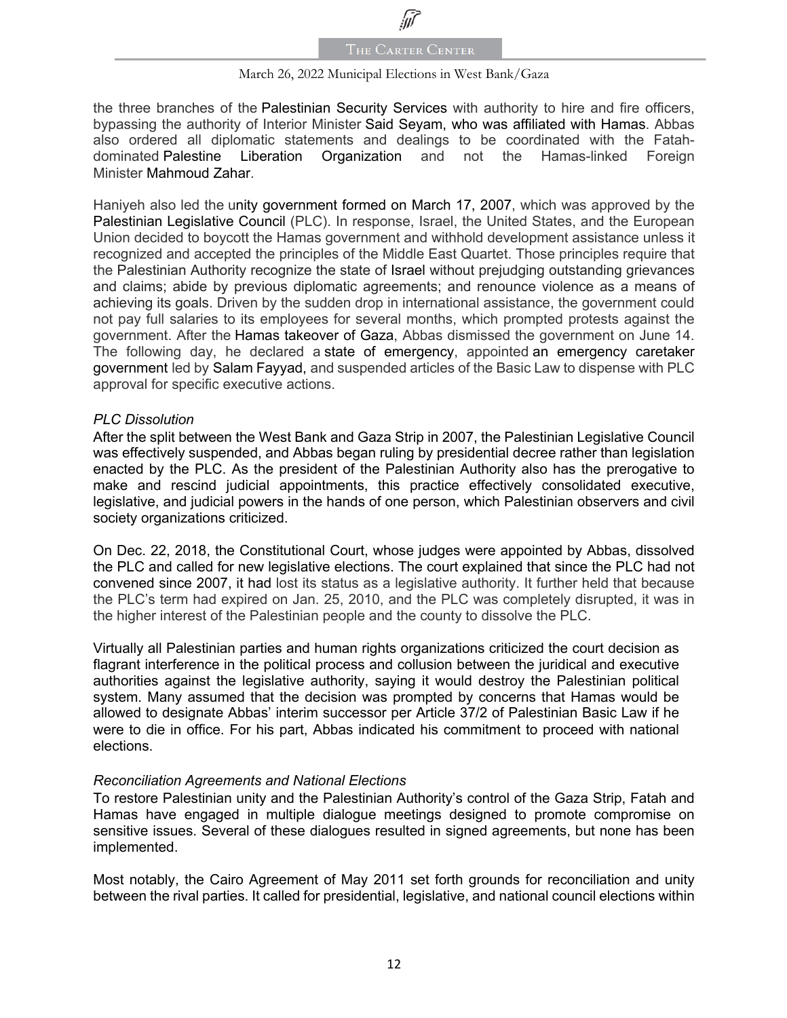

#### March 26, 2022 Municipal Elections in West Bank/Gaza

the three branches of the Palestinian Security Services with authority to hire and fire officers, bypassing the authority of Interior Minister Said Seyam, who was affiliated with Hamas. Abbas also ordered all diplomatic statements and dealings to be coordinated with the Fatahdominated Palestine Liberation Organization and not the Hamas-linked Foreign Minister Mahmoud Zahar.

Haniyeh also led the unity government formed on March 17, 2007, which was approved by the Palestinian Legislative Council (PLC). In response, Israel, the United States, and the European Union decided to boycott the Hamas government and withhold development assistance unless it recognized and accepted the principles of the Middle East Quartet. Those principles require that the Palestinian Authority recognize the state of Israel without prejudging outstanding grievances and claims; abide by previous diplomatic agreements; and renounce violence as a means of achieving its goals. Driven by the sudden drop in international assistance, the government could not pay full salaries to its employees for several months, which prompted protests against the government. After the Hamas takeover of Gaza, Abbas dismissed the government on June 14. The following day, he declared a state of emergency, appointed an emergency caretaker government led by Salam Fayyad, and suspended articles of the Basic Law to dispense with PLC approval for specific executive actions.

#### *PLC Dissolution*

After the split between the West Bank and Gaza Strip in 2007, the Palestinian Legislative Council was effectively suspended, and Abbas began ruling by presidential decree rather than legislation enacted by the PLC. As the president of the Palestinian Authority also has the prerogative to make and rescind judicial appointments, this practice effectively consolidated executive, legislative, and judicial powers in the hands of one person, which Palestinian observers and civil society organizations criticized.

On Dec. 22, 2018, the Constitutional Court, whose judges were appointed by Abbas, dissolved the PLC and called for new legislative elections. The court explained that since the PLC had not convened since 2007, it had lost its status as a legislative authority. It further held that because the PLC's term had expired on Jan. 25, 2010, and the PLC was completely disrupted, it was in the higher interest of the Palestinian people and the county to dissolve the PLC.

Virtually all Palestinian parties and human rights organizations criticized the court decision as flagrant interference in the political process and collusion between the juridical and executive authorities against the legislative authority, saying it would destroy the Palestinian political system. Many assumed that the decision was prompted by concerns that Hamas would be allowed to designate Abbas' interim successor per Article 37/2 of Palestinian Basic Law if he were to die in office. For his part, Abbas indicated his commitment to proceed with national elections.

#### *Reconciliation Agreements and National Elections*

To restore Palestinian unity and the Palestinian Authority's control of the Gaza Strip, Fatah and Hamas have engaged in multiple dialogue meetings designed to promote compromise on sensitive issues. Several of these dialogues resulted in signed agreements, but none has been implemented.

Most notably, the Cairo Agreement of May 2011 set forth grounds for reconciliation and unity between the rival parties. It called for presidential, legislative, and national council elections within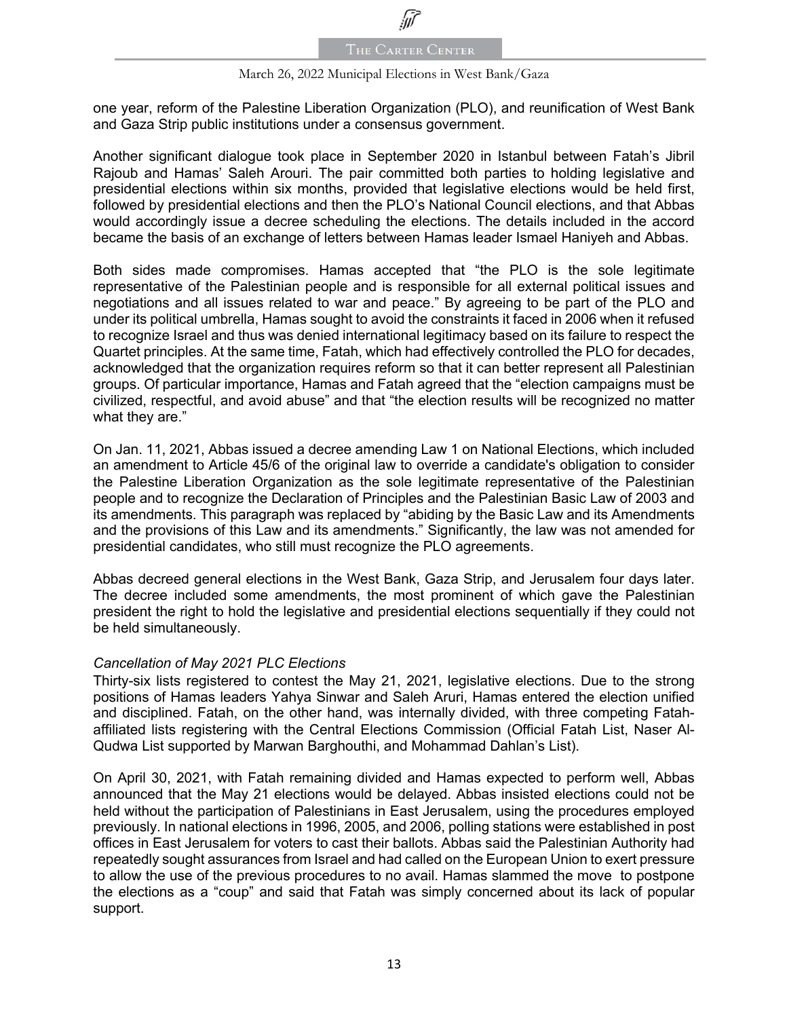#### March 26, 2022 Municipal Elections in West Bank/Gaza

one year, reform of the Palestine Liberation Organization (PLO), and reunification of West Bank and Gaza Strip public institutions under a consensus government.

Another significant dialogue took place in September 2020 in Istanbul between Fatah's Jibril Rajoub and Hamas' Saleh Arouri. The pair committed both parties to holding legislative and presidential elections within six months, provided that legislative elections would be held first, followed by presidential elections and then the PLO's National Council elections, and that Abbas would accordingly issue a decree scheduling the elections. The details included in the accord became the basis of an exchange of letters between Hamas leader Ismael Haniyeh and Abbas.

Both sides made compromises. Hamas accepted that "the PLO is the sole legitimate representative of the Palestinian people and is responsible for all external political issues and negotiations and all issues related to war and peace." By agreeing to be part of the PLO and under its political umbrella, Hamas sought to avoid the constraints it faced in 2006 when it refused to recognize Israel and thus was denied international legitimacy based on its failure to respect the Quartet principles. At the same time, Fatah, which had effectively controlled the PLO for decades, acknowledged that the organization requires reform so that it can better represent all Palestinian groups. Of particular importance, Hamas and Fatah agreed that the "election campaigns must be civilized, respectful, and avoid abuse" and that "the election results will be recognized no matter what they are."

On Jan. 11, 2021, Abbas issued a decree amending Law 1 on National Elections, which included an amendment to Article 45/6 of the original law to override a candidate's obligation to consider the Palestine Liberation Organization as the sole legitimate representative of the Palestinian people and to recognize the Declaration of Principles and the Palestinian Basic Law of 2003 and its amendments. This paragraph was replaced by "abiding by the Basic Law and its Amendments and the provisions of this Law and its amendments." Significantly, the law was not amended for presidential candidates, who still must recognize the PLO agreements.

Abbas decreed general elections in the West Bank, Gaza Strip, and Jerusalem four days later. The decree included some amendments, the most prominent of which gave the Palestinian president the right to hold the legislative and presidential elections sequentially if they could not be held simultaneously.

#### *Cancellation of May 2021 PLC Elections*

Thirty-six lists registered to contest the May 21, 2021, legislative elections. Due to the strong positions of Hamas leaders Yahya Sinwar and Saleh Aruri, Hamas entered the election unified and disciplined. Fatah, on the other hand, was internally divided, with three competing Fatahaffiliated lists registering with the Central Elections Commission (Official Fatah List, Naser Al-Qudwa List supported by Marwan Barghouthi, and Mohammad Dahlan's List).

On April 30, 2021, with Fatah remaining divided and Hamas expected to perform well, Abbas announced that the May 21 elections would be delayed. Abbas insisted elections could not be held without the participation of Palestinians in East Jerusalem, using the procedures employed previously. In national elections in 1996, 2005, and 2006, polling stations were established in post offices in East Jerusalem for voters to cast their ballots. Abbas said the Palestinian Authority had repeatedly sought assurances from Israel and had called on the European Union to exert pressure to allow the use of the previous procedures to no avail. Hamas slammed the move to postpone the elections as a "coup" and said that Fatah was simply concerned about its lack of popular support.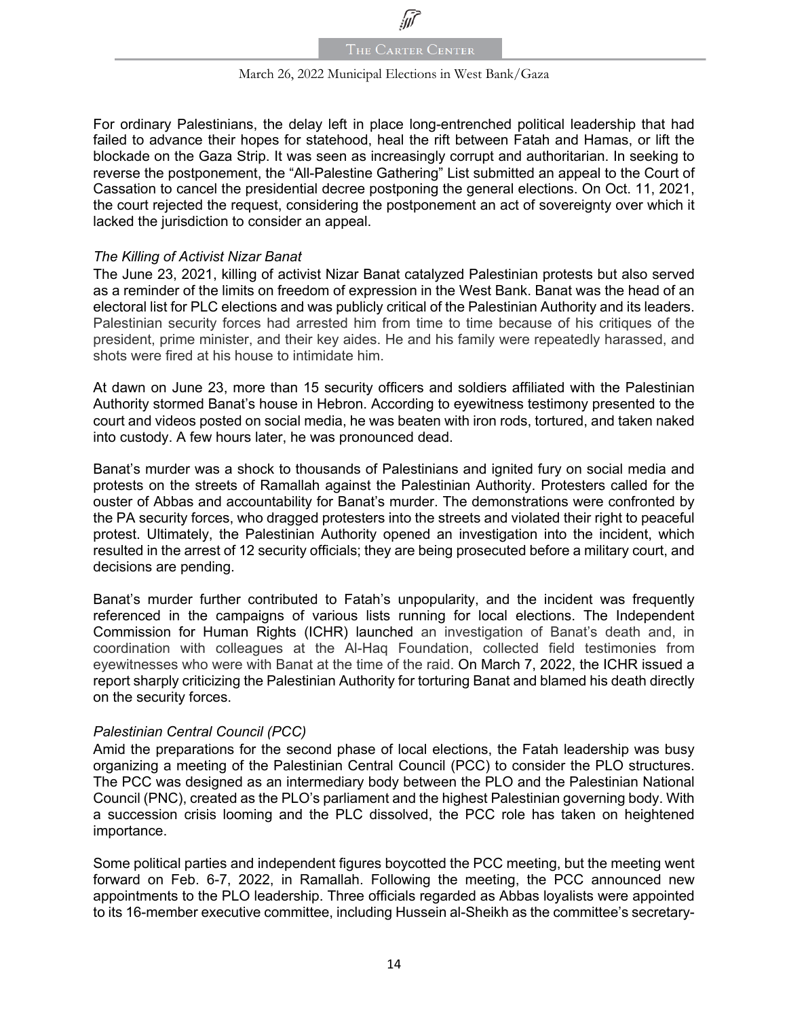

#### March 26, 2022 Municipal Elections in West Bank/Gaza

For ordinary Palestinians, the delay left in place long-entrenched political leadership that had failed to advance their hopes for statehood, heal the rift between Fatah and Hamas, or lift the blockade on the Gaza Strip. It was seen as increasingly corrupt and authoritarian. In seeking to reverse the postponement, the "All-Palestine Gathering" List submitted an appeal to the Court of Cassation to cancel the presidential decree postponing the general elections. On Oct. 11, 2021, the court rejected the request, considering the postponement an act of sovereignty over which it lacked the jurisdiction to consider an appeal.

#### *The Killing of Activist Nizar Banat*

The June 23, 2021, killing of activist Nizar Banat catalyzed Palestinian protests but also served as a reminder of the limits on freedom of expression in the West Bank. Banat was the head of an electoral list for PLC elections and was publicly critical of the Palestinian Authority and its leaders. Palestinian security forces had arrested him from time to time because of his critiques of the president, prime minister, and their key aides. He and his family were repeatedly harassed, and shots were fired at his house to intimidate him.

At dawn on June 23, more than 15 security officers and soldiers affiliated with the Palestinian Authority stormed Banat's house in Hebron. According to eyewitness testimony presented to the court and videos posted on social media, he was beaten with iron rods, tortured, and taken naked into custody. A few hours later, he was pronounced dead.

Banat's murder was a shock to thousands of Palestinians and ignited fury on social media and protests on the streets of Ramallah against the Palestinian Authority. Protesters called for the ouster of Abbas and accountability for Banat's murder. The demonstrations were confronted by the PA security forces, who dragged protesters into the streets and violated their right to peaceful protest. Ultimately, the Palestinian Authority opened an investigation into the incident, which resulted in the arrest of 12 security officials; they are being prosecuted before a military court, and decisions are pending.

Banat's murder further contributed to Fatah's unpopularity, and the incident was frequently referenced in the campaigns of various lists running for local elections. The Independent Commission for Human Rights (ICHR) launched an investigation of Banat's death and, in coordination with colleagues at the Al-Haq Foundation, collected field testimonies from eyewitnesses who were with Banat at the time of the raid. On March 7, 2022, the ICHR issued a report sharply criticizing the Palestinian Authority for torturing Banat and blamed his death directly on the security forces.

#### *Palestinian Central Council (PCC)*

Amid the preparations for the second phase of local elections, the Fatah leadership was busy organizing a meeting of the Palestinian Central Council (PCC) to consider the PLO structures. The PCC was designed as an intermediary body between the PLO and the Palestinian National Council (PNC), created as the PLO's parliament and the highest Palestinian governing body. With a succession crisis looming and the PLC dissolved, the PCC role has taken on heightened importance.

Some political parties and independent figures boycotted the PCC meeting, but the meeting went forward on Feb. 6-7, 2022, in Ramallah. Following the meeting, the PCC announced new appointments to the PLO leadership. Three officials regarded as Abbas loyalists were appointed to its 16-member executive committee, including Hussein al-Sheikh as the committee's secretary-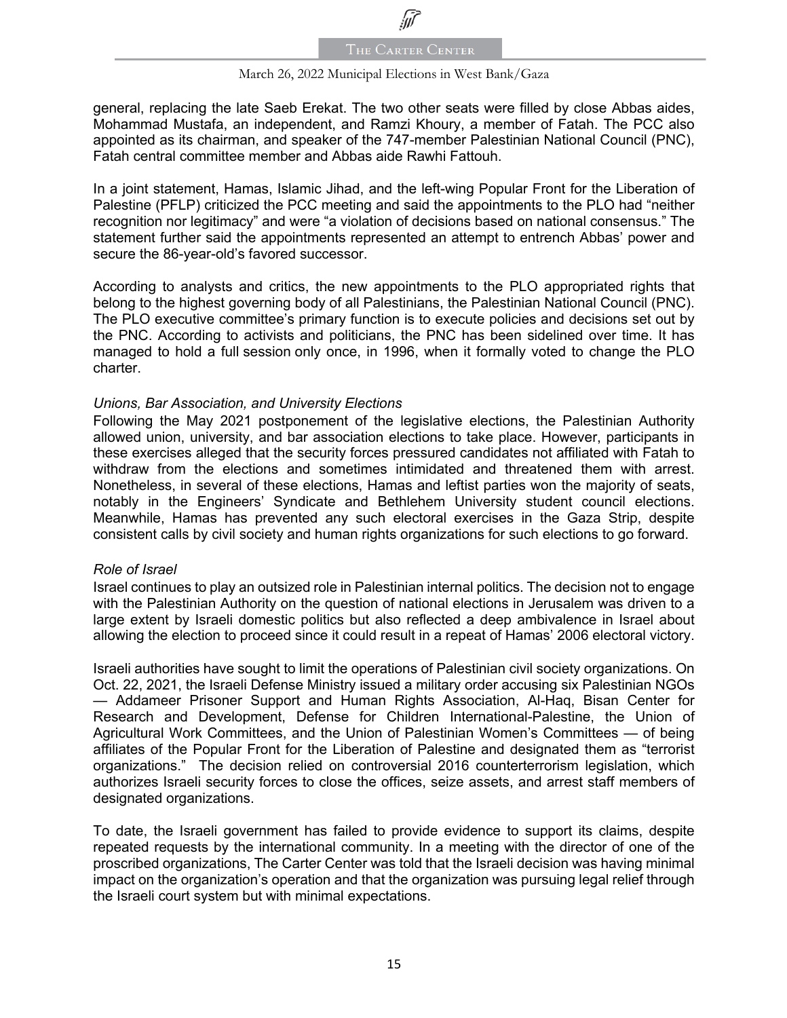#### March 26, 2022 Municipal Elections in West Bank/Gaza

general, replacing the late Saeb Erekat. The two other seats were filled by close Abbas aides, Mohammad Mustafa, an independent, and Ramzi Khoury, a member of Fatah. The PCC also appointed as its chairman, and speaker of the 747-member Palestinian National Council (PNC), Fatah central committee member and Abbas aide Rawhi Fattouh.

In a joint statement, Hamas, Islamic Jihad, and the left-wing Popular Front for the Liberation of Palestine (PFLP) criticized the PCC meeting and said the appointments to the PLO had "neither recognition nor legitimacy" and were "a violation of decisions based on national consensus." The statement further said the appointments represented an attempt to entrench Abbas' power and secure the 86-year-old's favored successor.

According to analysts and critics, the new appointments to the PLO appropriated rights that belong to the highest governing body of all Palestinians, the Palestinian National Council (PNC). The PLO executive committee's primary function is to execute policies and decisions set out by the PNC. According to activists and politicians, the PNC has been sidelined over time. It has managed to hold a full session only once, in 1996, when it formally voted to change the PLO charter.

### *Unions, Bar Association, and University Elections*

Following the May 2021 postponement of the legislative elections, the Palestinian Authority allowed union, university, and bar association elections to take place. However, participants in these exercises alleged that the security forces pressured candidates not affiliated with Fatah to withdraw from the elections and sometimes intimidated and threatened them with arrest. Nonetheless, in several of these elections, Hamas and leftist parties won the majority of seats, notably in the Engineers' Syndicate and Bethlehem University student council elections. Meanwhile, Hamas has prevented any such electoral exercises in the Gaza Strip, despite consistent calls by civil society and human rights organizations for such elections to go forward.

#### *Role of Israel*

Israel continues to play an outsized role in Palestinian internal politics. The decision not to engage with the Palestinian Authority on the question of national elections in Jerusalem was driven to a large extent by Israeli domestic politics but also reflected a deep ambivalence in Israel about allowing the election to proceed since it could result in a repeat of Hamas' 2006 electoral victory.

Israeli authorities have sought to limit the operations of Palestinian civil society organizations. On Oct. 22, 2021, the Israeli Defense Ministry issued a military order accusing six Palestinian NGOs — Addameer Prisoner Support and Human Rights Association, Al-Haq, Bisan Center for Research and Development, Defense for Children International-Palestine, the Union of Agricultural Work Committees, and the Union of Palestinian Women's Committees — of being affiliates of the Popular Front for the Liberation of Palestine and designated them as "terrorist organizations." The decision relied on controversial 2016 counterterrorism legislation, which authorizes Israeli security forces to close the offices, seize assets, and arrest staff members of designated organizations.

To date, the Israeli government has failed to provide evidence to support its claims, despite repeated requests by the international community. In a meeting with the director of one of the proscribed organizations, The Carter Center was told that the Israeli decision was having minimal impact on the organization's operation and that the organization was pursuing legal relief through the Israeli court system but with minimal expectations.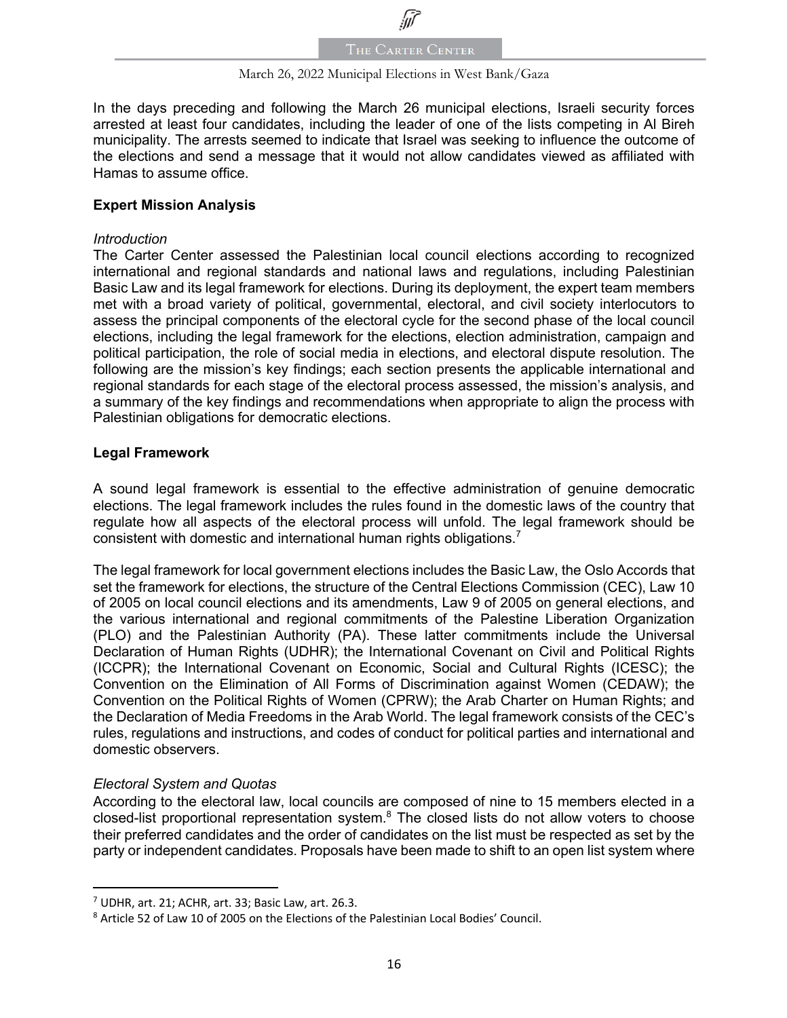

#### March 26, 2022 Municipal Elections in West Bank/Gaza

In the days preceding and following the March 26 municipal elections, Israeli security forces arrested at least four candidates, including the leader of one of the lists competing in Al Bireh municipality. The arrests seemed to indicate that Israel was seeking to influence the outcome of the elections and send a message that it would not allow candidates viewed as affiliated with Hamas to assume office.

#### **Expert Mission Analysis**

#### *Introduction*

The Carter Center assessed the Palestinian local council elections according to recognized international and regional standards and national laws and regulations, including Palestinian Basic Law and its legal framework for elections. During its deployment, the expert team members met with a broad variety of political, governmental, electoral, and civil society interlocutors to assess the principal components of the electoral cycle for the second phase of the local council elections, including the legal framework for the elections, election administration, campaign and political participation, the role of social media in elections, and electoral dispute resolution. The following are the mission's key findings; each section presents the applicable international and regional standards for each stage of the electoral process assessed, the mission's analysis, and a summary of the key findings and recommendations when appropriate to align the process with Palestinian obligations for democratic elections.

#### **Legal Framework**

A sound legal framework is essential to the effective administration of genuine democratic elections. The legal framework includes the rules found in the domestic laws of the country that regulate how all aspects of the electoral process will unfold. The legal framework should be consistent with domestic and international human rights obligations.<sup>7</sup>

The legal framework for local government elections includes the Basic Law, the Oslo Accords that set the framework for elections, the structure of the Central Elections Commission (CEC), Law 10 of 2005 on local council elections and its amendments, Law 9 of 2005 on general elections, and the various international and regional commitments of the Palestine Liberation Organization (PLO) and the Palestinian Authority (PA). These latter commitments include the Universal Declaration of Human Rights (UDHR); the International Covenant on Civil and Political Rights (ICCPR); the International Covenant on Economic, Social and Cultural Rights (ICESC); the Convention on the Elimination of All Forms of Discrimination against Women (CEDAW); the Convention on the Political Rights of Women (CPRW); the Arab Charter on Human Rights; and the Declaration of Media Freedoms in the Arab World. The legal framework consists of the CEC's rules, regulations and instructions, and codes of conduct for political parties and international and domestic observers.

### *Electoral System and Quotas*

According to the electoral law, local councils are composed of nine to 15 members elected in a closed-list proportional representation system.<sup>8</sup> The closed lists do not allow voters to choose their preferred candidates and the order of candidates on the list must be respected as set by the party or independent candidates. Proposals have been made to shift to an open list system where

 $<sup>7</sup>$  UDHR, art. 21; ACHR, art. 33; Basic Law, art. 26.3.</sup>

<sup>8</sup> Article 52 of Law 10 of 2005 on the Elections of the Palestinian Local Bodies' Council.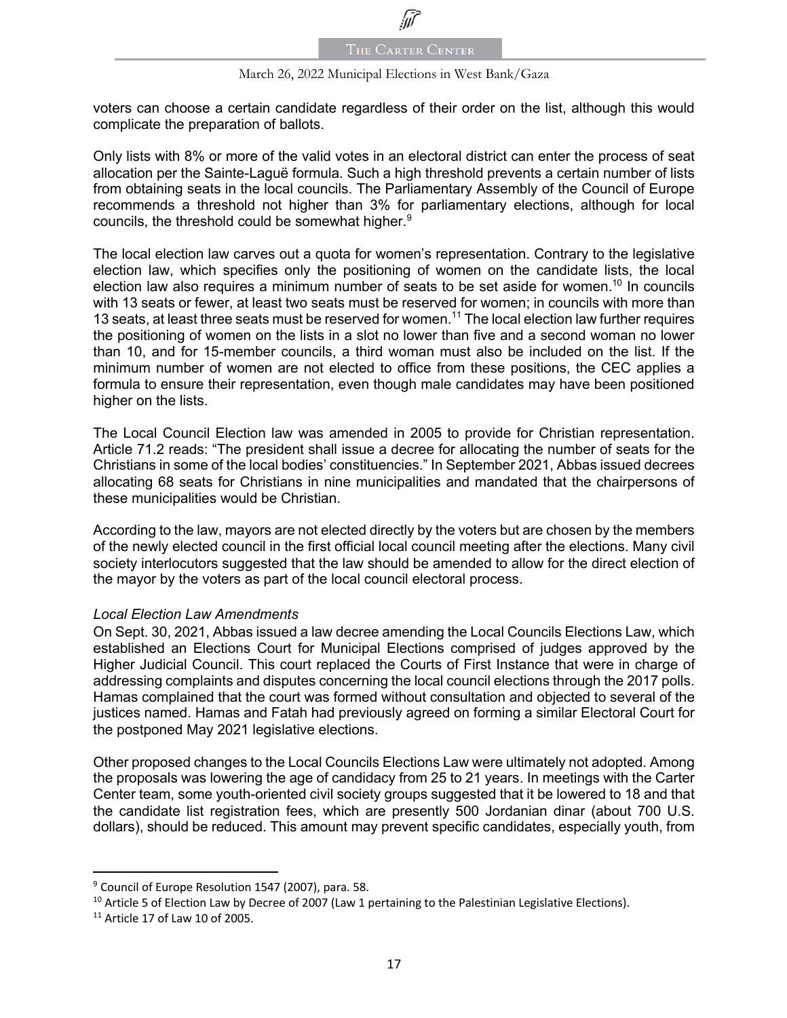#### March 26, 2022 Municipal Elections in West Bank/Gaza

voters can choose a certain candidate regardless of their order on the list, although this would complicate the preparation of ballots.

Only lists with 8% or more of the valid votes in an electoral district can enter the process of seat allocation per the Sainte-Laguë formula. Such a high threshold prevents a certain number of lists from obtaining seats in the local councils. The Parliamentary Assembly of the Council of Europe recommends a threshold not higher than 3% for parliamentary elections, although for local councils, the threshold could be somewhat higher. $9$ 

The local election law carves out a quota for women's representation. Contrary to the legislative election law, which specifies only the positioning of women on the candidate lists, the local election law also requires a minimum number of seats to be set aside for women.<sup>10</sup> In councils with 13 seats or fewer, at least two seats must be reserved for women; in councils with more than 13 seats, at least three seats must be reserved for women.<sup>11</sup> The local election law further requires the positioning of women on the lists in a slot no lower than five and a second woman no lower than 10, and for 15-member councils, a third woman must also be included on the list. If the minimum number of women are not elected to office from these positions, the CEC applies a formula to ensure their representation, even though male candidates may have been positioned higher on the lists.

The Local Council Election law was amended in 2005 to provide for Christian representation. Article 71.2 reads: "The president shall issue a decree for allocating the number of seats for the Christians in some of the local bodies' constituencies." In September 2021, Abbas issued decrees allocating 68 seats for Christians in nine municipalities and mandated that the chairpersons of these municipalities would be Christian.

According to the law, mayors are not elected directly by the voters but are chosen by the members of the newly elected council in the first official local council meeting after the elections. Many civil society interlocutors suggested that the law should be amended to allow for the direct election of the mayor by the voters as part of the local council electoral process.

#### *Local Election Law Amendments*

On Sept. 30, 2021, Abbas issued a law decree amending the Local Councils Elections Law, which established an Elections Court for Municipal Elections comprised of judges approved by the Higher Judicial Council. This court replaced the Courts of First Instance that were in charge of addressing complaints and disputes concerning the local council elections through the 2017 polls. Hamas complained that the court was formed without consultation and objected to several of the justices named. Hamas and Fatah had previously agreed on forming a similar Electoral Court for the postponed May 2021 legislative elections.

Other proposed changes to the Local Councils Elections Law were ultimately not adopted. Among the proposals was lowering the age of candidacy from 25 to 21 years. In meetings with the Carter Center team, some youth-oriented civil society groups suggested that it be lowered to 18 and that the candidate list registration fees, which are presently 500 Jordanian dinar (about 700 U.S. dollars), should be reduced. This amount may prevent specific candidates, especially youth, from

<sup>&</sup>lt;sup>9</sup> Council of Europe Resolution 1547 (2007), para. 58.

 $10$  Article 5 of Election Law by Decree of 2007 (Law 1 pertaining to the Palestinian Legislative Elections).

 $11$  Article 17 of Law 10 of 2005.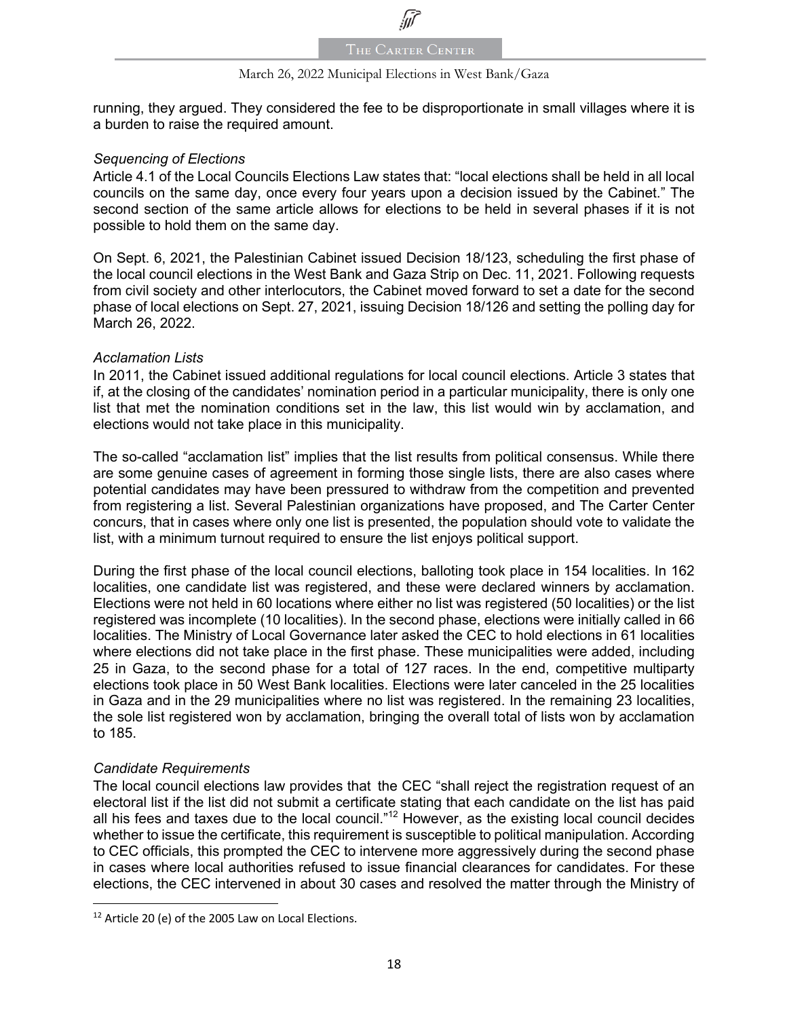

#### March 26, 2022 Municipal Elections in West Bank/Gaza

running, they argued. They considered the fee to be disproportionate in small villages where it is a burden to raise the required amount.

#### *Sequencing of Elections*

Article 4.1 of the Local Councils Elections Law states that: "local elections shall be held in all local councils on the same day, once every four years upon a decision issued by the Cabinet." The second section of the same article allows for elections to be held in several phases if it is not possible to hold them on the same day.

On Sept. 6, 2021, the Palestinian Cabinet issued Decision 18/123, scheduling the first phase of the local council elections in the West Bank and Gaza Strip on Dec. 11, 2021. Following requests from civil society and other interlocutors, the Cabinet moved forward to set a date for the second phase of local elections on Sept. 27, 2021, issuing Decision 18/126 and setting the polling day for March 26, 2022.

#### *Acclamation Lists*

In 2011, the Cabinet issued additional regulations for local council elections. Article 3 states that if, at the closing of the candidates' nomination period in a particular municipality, there is only one list that met the nomination conditions set in the law, this list would win by acclamation, and elections would not take place in this municipality.

The so-called "acclamation list" implies that the list results from political consensus. While there are some genuine cases of agreement in forming those single lists, there are also cases where potential candidates may have been pressured to withdraw from the competition and prevented from registering a list. Several Palestinian organizations have proposed, and The Carter Center concurs, that in cases where only one list is presented, the population should vote to validate the list, with a minimum turnout required to ensure the list enjoys political support.

During the first phase of the local council elections, balloting took place in 154 localities. In 162 localities, one candidate list was registered, and these were declared winners by acclamation. Elections were not held in 60 locations where either no list was registered (50 localities) or the list registered was incomplete (10 localities). In the second phase, elections were initially called in 66 localities. The Ministry of Local Governance later asked the CEC to hold elections in 61 localities where elections did not take place in the first phase. These municipalities were added, including 25 in Gaza, to the second phase for a total of 127 races. In the end, competitive multiparty elections took place in 50 West Bank localities. Elections were later canceled in the 25 localities in Gaza and in the 29 municipalities where no list was registered. In the remaining 23 localities, the sole list registered won by acclamation, bringing the overall total of lists won by acclamation to 185.

#### *Candidate Requirements*

The local council elections law provides that the CEC "shall reject the registration request of an electoral list if the list did not submit a certificate stating that each candidate on the list has paid all his fees and taxes due to the local council."<sup>12</sup> However, as the existing local council decides whether to issue the certificate, this requirement is susceptible to political manipulation. According to CEC officials, this prompted the CEC to intervene more aggressively during the second phase in cases where local authorities refused to issue financial clearances for candidates. For these elections, the CEC intervened in about 30 cases and resolved the matter through the Ministry of

<sup>&</sup>lt;sup>12</sup> Article 20 (e) of the 2005 Law on Local Elections.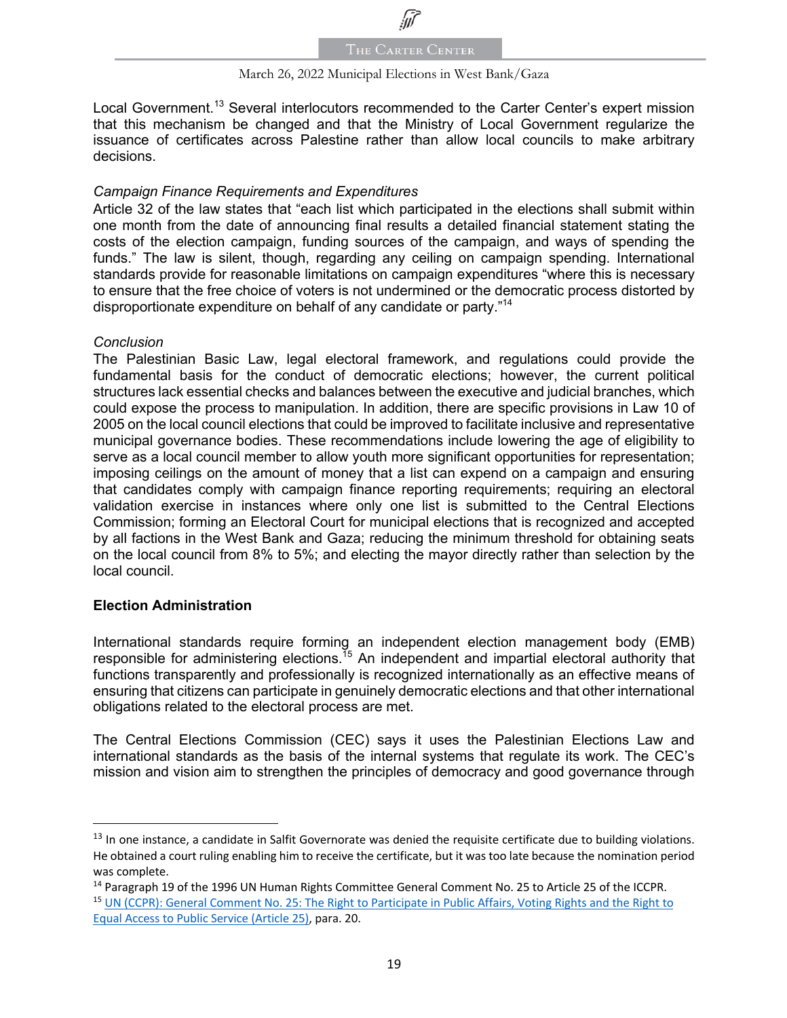

#### March 26, 2022 Municipal Elections in West Bank/Gaza

Local Government.<sup>13</sup> Several interlocutors recommended to the Carter Center's expert mission that this mechanism be changed and that the Ministry of Local Government regularize the issuance of certificates across Palestine rather than allow local councils to make arbitrary decisions.

#### *Campaign Finance Requirements and Expenditures*

Article 32 of the law states that "each list which participated in the elections shall submit within one month from the date of announcing final results a detailed financial statement stating the costs of the election campaign, funding sources of the campaign, and ways of spending the funds." The law is silent, though, regarding any ceiling on campaign spending. International standards provide for reasonable limitations on campaign expenditures "where this is necessary to ensure that the free choice of voters is not undermined or the democratic process distorted by disproportionate expenditure on behalf of any candidate or party."14

#### *Conclusion*

The Palestinian Basic Law, legal electoral framework, and regulations could provide the fundamental basis for the conduct of democratic elections; however, the current political structures lack essential checks and balances between the executive and judicial branches, which could expose the process to manipulation. In addition, there are specific provisions in Law 10 of 2005 on the local council elections that could be improved to facilitate inclusive and representative municipal governance bodies. These recommendations include lowering the age of eligibility to serve as a local council member to allow youth more significant opportunities for representation; imposing ceilings on the amount of money that a list can expend on a campaign and ensuring that candidates comply with campaign finance reporting requirements; requiring an electoral validation exercise in instances where only one list is submitted to the Central Elections Commission; forming an Electoral Court for municipal elections that is recognized and accepted by all factions in the West Bank and Gaza; reducing the minimum threshold for obtaining seats on the local council from 8% to 5%; and electing the mayor directly rather than selection by the local council.

#### **Election Administration**

International standards require forming an independent election management body (EMB) responsible for administering elections.<sup>15</sup> An independent and impartial electoral authority that functions transparently and professionally is recognized internationally as an effective means of ensuring that citizens can participate in genuinely democratic elections and that other international obligations related to the electoral process are met.

The Central Elections Commission (CEC) says it uses the Palestinian Elections Law and international standards as the basis of the internal systems that regulate its work. The CEC's mission and vision aim to strengthen the principles of democracy and good governance through

 $<sup>13</sup>$  In one instance, a candidate in Salfit Governorate was denied the requisite certificate due to building violations.</sup> He obtained a court ruling enabling him to receive the certificate, but it was too late because the nomination period was complete.

<sup>&</sup>lt;sup>14</sup> Paragraph 19 of the 1996 UN Human Rights Committee General Comment No. 25 to Article 25 of the ICCPR. <sup>15</sup> UN (CCPR): General Comment No. 25: The Right to Participate in Public Affairs, Voting Rights and the Right to Equal Access to Public Service (Article 25), para. 20.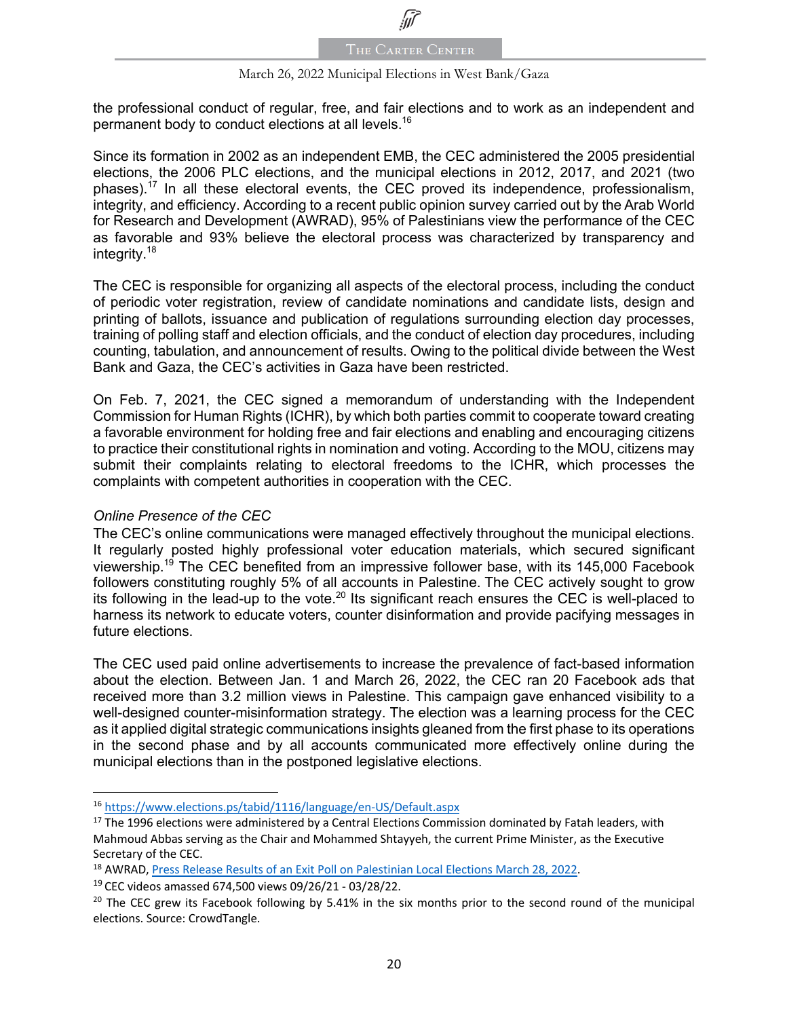#### March 26, 2022 Municipal Elections in West Bank/Gaza

the professional conduct of regular, free, and fair elections and to work as an independent and permanent body to conduct elections at all levels.16

Since its formation in 2002 as an independent EMB, the CEC administered the 2005 presidential elections, the 2006 PLC elections, and the municipal elections in 2012, 2017, and 2021 (two phases).<sup>17</sup> In all these electoral events, the CEC proved its independence, professionalism, integrity, and efficiency. According to a recent public opinion survey carried out by the Arab World for Research and Development (AWRAD), 95% of Palestinians view the performance of the CEC as favorable and 93% believe the electoral process was characterized by transparency and integrity.18

The CEC is responsible for organizing all aspects of the electoral process, including the conduct of periodic voter registration, review of candidate nominations and candidate lists, design and printing of ballots, issuance and publication of regulations surrounding election day processes, training of polling staff and election officials, and the conduct of election day procedures, including counting, tabulation, and announcement of results. Owing to the political divide between the West Bank and Gaza, the CEC's activities in Gaza have been restricted.

On Feb. 7, 2021, the CEC signed a memorandum of understanding with the Independent Commission for Human Rights (ICHR), by which both parties commit to cooperate toward creating a favorable environment for holding free and fair elections and enabling and encouraging citizens to practice their constitutional rights in nomination and voting. According to the MOU, citizens may submit their complaints relating to electoral freedoms to the ICHR, which processes the complaints with competent authorities in cooperation with the CEC.

#### *Online Presence of the CEC*

The CEC's online communications were managed effectively throughout the municipal elections. It regularly posted highly professional voter education materials, which secured significant viewership.19 The CEC benefited from an impressive follower base, with its 145,000 Facebook followers constituting roughly 5% of all accounts in Palestine. The CEC actively sought to grow its following in the lead-up to the vote.<sup>20</sup> Its significant reach ensures the CEC is well-placed to harness its network to educate voters, counter disinformation and provide pacifying messages in future elections.

The CEC used paid online advertisements to increase the prevalence of fact-based information about the election. Between Jan. 1 and March 26, 2022, the CEC ran 20 Facebook ads that received more than 3.2 million views in Palestine. This campaign gave enhanced visibility to a well-designed counter-misinformation strategy. The election was a learning process for the CEC as it applied digital strategic communications insights gleaned from the first phase to its operations in the second phase and by all accounts communicated more effectively online during the municipal elections than in the postponed legislative elections.

<sup>16</sup> https://www.elections.ps/tabid/1116/language/en-US/Default.aspx

<sup>&</sup>lt;sup>17</sup> The 1996 elections were administered by a Central Elections Commission dominated by Fatah leaders, with Mahmoud Abbas serving as the Chair and Mohammed Shtayyeh, the current Prime Minister, as the Executive Secretary of the CEC.

<sup>18</sup> AWRAD, Press Release Results of an Exit Poll on Palestinian Local Elections March 28, 2022.

<sup>19</sup> CEC videos amassed 674,500 views 09/26/21 - 03/28/22.

 $20$  The CEC grew its Facebook following by 5.41% in the six months prior to the second round of the municipal elections. Source: CrowdTangle.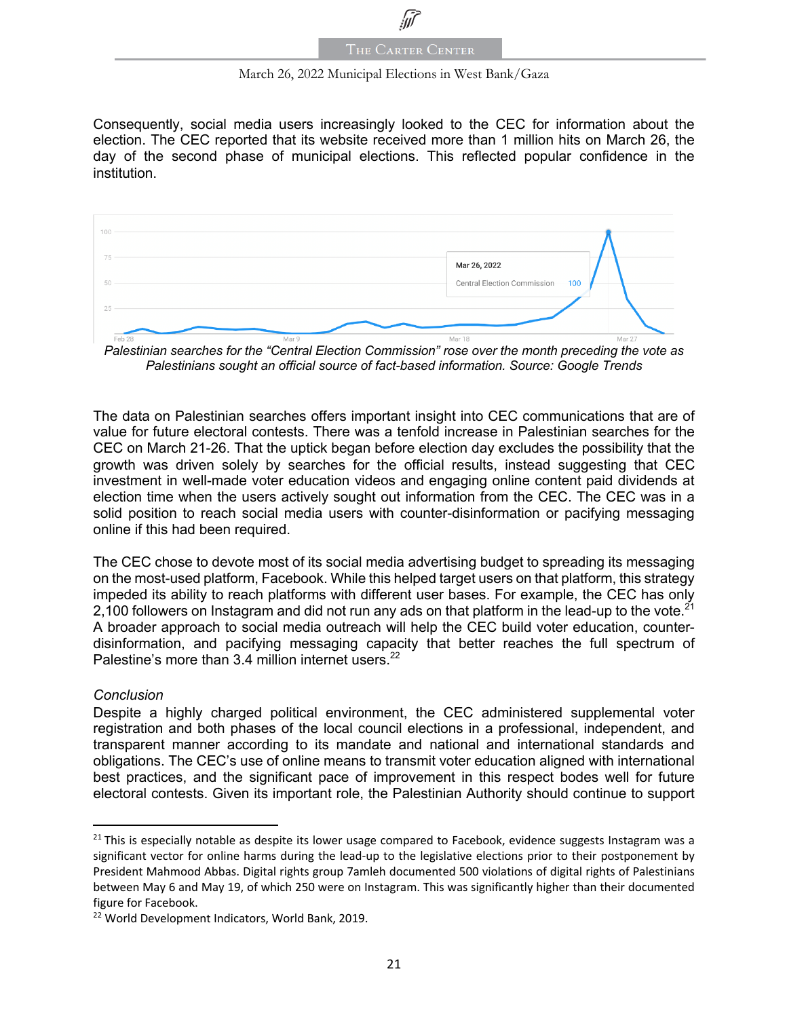#### March 26, 2022 Municipal Elections in West Bank/Gaza

Consequently, social media users increasingly looked to the CEC for information about the election. The CEC reported that its website received more than 1 million hits on March 26, the day of the second phase of municipal elections. This reflected popular confidence in the institution.



*Palestinian searches for the "Central Election Commission" rose over the month preceding the vote as Palestinians sought an official source of fact-based information. Source: Google Trends*

The data on Palestinian searches offers important insight into CEC communications that are of value for future electoral contests. There was a tenfold increase in Palestinian searches for the CEC on March 21-26. That the uptick began before election day excludes the possibility that the growth was driven solely by searches for the official results, instead suggesting that CEC investment in well-made voter education videos and engaging online content paid dividends at election time when the users actively sought out information from the CEC. The CEC was in a solid position to reach social media users with counter-disinformation or pacifying messaging online if this had been required.

The CEC chose to devote most of its social media advertising budget to spreading its messaging on the most-used platform, Facebook. While this helped target users on that platform, this strategy impeded its ability to reach platforms with different user bases. For example, the CEC has only 2,100 followers on Instagram and did not run any ads on that platform in the lead-up to the vote.<sup>21</sup> A broader approach to social media outreach will help the CEC build voter education, counterdisinformation, and pacifying messaging capacity that better reaches the full spectrum of Palestine's more than 3.4 million internet users.<sup>22</sup>

#### *Conclusion*

Despite a highly charged political environment, the CEC administered supplemental voter registration and both phases of the local council elections in a professional, independent, and transparent manner according to its mandate and national and international standards and obligations. The CEC's use of online means to transmit voter education aligned with international best practices, and the significant pace of improvement in this respect bodes well for future electoral contests. Given its important role, the Palestinian Authority should continue to support

<sup>&</sup>lt;sup>21</sup> This is especially notable as despite its lower usage compared to Facebook, evidence suggests Instagram was a significant vector for online harms during the lead-up to the legislative elections prior to their postponement by President Mahmood Abbas. Digital rights group 7amleh documented 500 violations of digital rights of Palestinians between May 6 and May 19, of which 250 were on Instagram. This was significantly higher than their documented figure for Facebook.

<sup>22</sup> World Development Indicators, World Bank, 2019.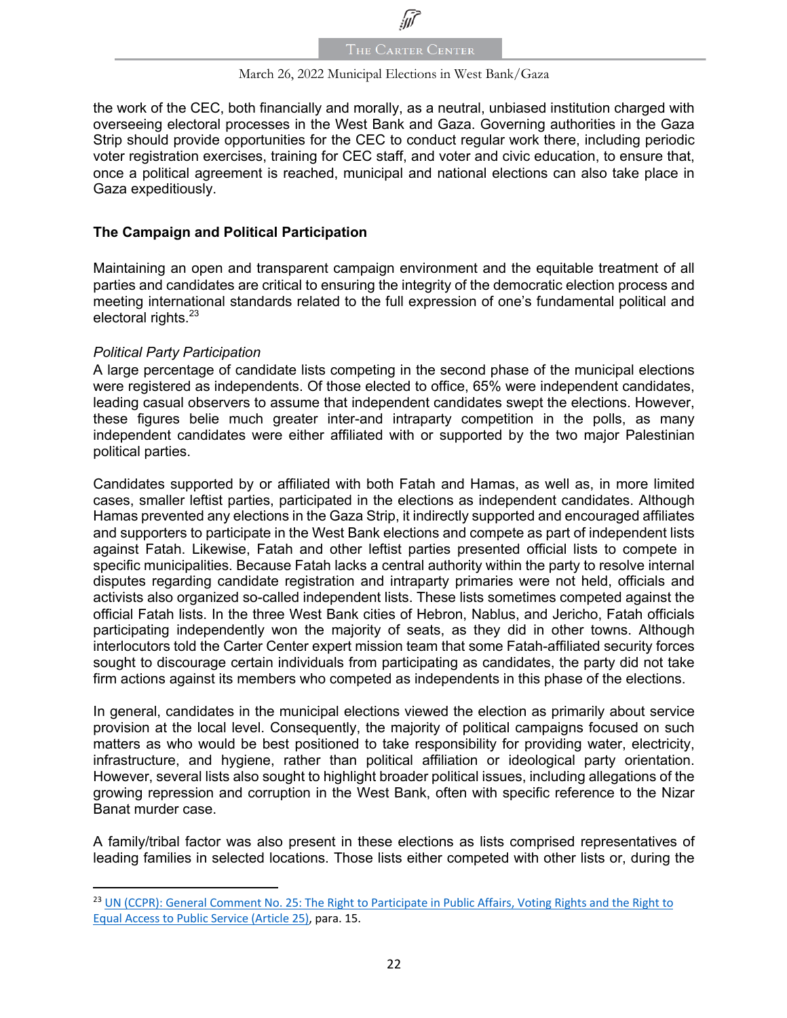

#### March 26, 2022 Municipal Elections in West Bank/Gaza

the work of the CEC, both financially and morally, as a neutral, unbiased institution charged with overseeing electoral processes in the West Bank and Gaza. Governing authorities in the Gaza Strip should provide opportunities for the CEC to conduct regular work there, including periodic voter registration exercises, training for CEC staff, and voter and civic education, to ensure that, once a political agreement is reached, municipal and national elections can also take place in Gaza expeditiously.

#### **The Campaign and Political Participation**

Maintaining an open and transparent campaign environment and the equitable treatment of all parties and candidates are critical to ensuring the integrity of the democratic election process and meeting international standards related to the full expression of one's fundamental political and electoral rights.<sup>23</sup>

#### *Political Party Participation*

A large percentage of candidate lists competing in the second phase of the municipal elections were registered as independents. Of those elected to office, 65% were independent candidates, leading casual observers to assume that independent candidates swept the elections. However, these figures belie much greater inter-and intraparty competition in the polls, as many independent candidates were either affiliated with or supported by the two major Palestinian political parties.

Candidates supported by or affiliated with both Fatah and Hamas, as well as, in more limited cases, smaller leftist parties, participated in the elections as independent candidates. Although Hamas prevented any elections in the Gaza Strip, it indirectly supported and encouraged affiliates and supporters to participate in the West Bank elections and compete as part of independent lists against Fatah. Likewise, Fatah and other leftist parties presented official lists to compete in specific municipalities. Because Fatah lacks a central authority within the party to resolve internal disputes regarding candidate registration and intraparty primaries were not held, officials and activists also organized so-called independent lists. These lists sometimes competed against the official Fatah lists. In the three West Bank cities of Hebron, Nablus, and Jericho, Fatah officials participating independently won the majority of seats, as they did in other towns. Although interlocutors told the Carter Center expert mission team that some Fatah-affiliated security forces sought to discourage certain individuals from participating as candidates, the party did not take firm actions against its members who competed as independents in this phase of the elections.

In general, candidates in the municipal elections viewed the election as primarily about service provision at the local level. Consequently, the majority of political campaigns focused on such matters as who would be best positioned to take responsibility for providing water, electricity, infrastructure, and hygiene, rather than political affiliation or ideological party orientation. However, several lists also sought to highlight broader political issues, including allegations of the growing repression and corruption in the West Bank, often with specific reference to the Nizar Banat murder case.

A family/tribal factor was also present in these elections as lists comprised representatives of leading families in selected locations. Those lists either competed with other lists or, during the

<sup>&</sup>lt;sup>23</sup> UN (CCPR): General Comment No. 25: The Right to Participate in Public Affairs, Voting Rights and the Right to Equal Access to Public Service (Article 25), para. 15.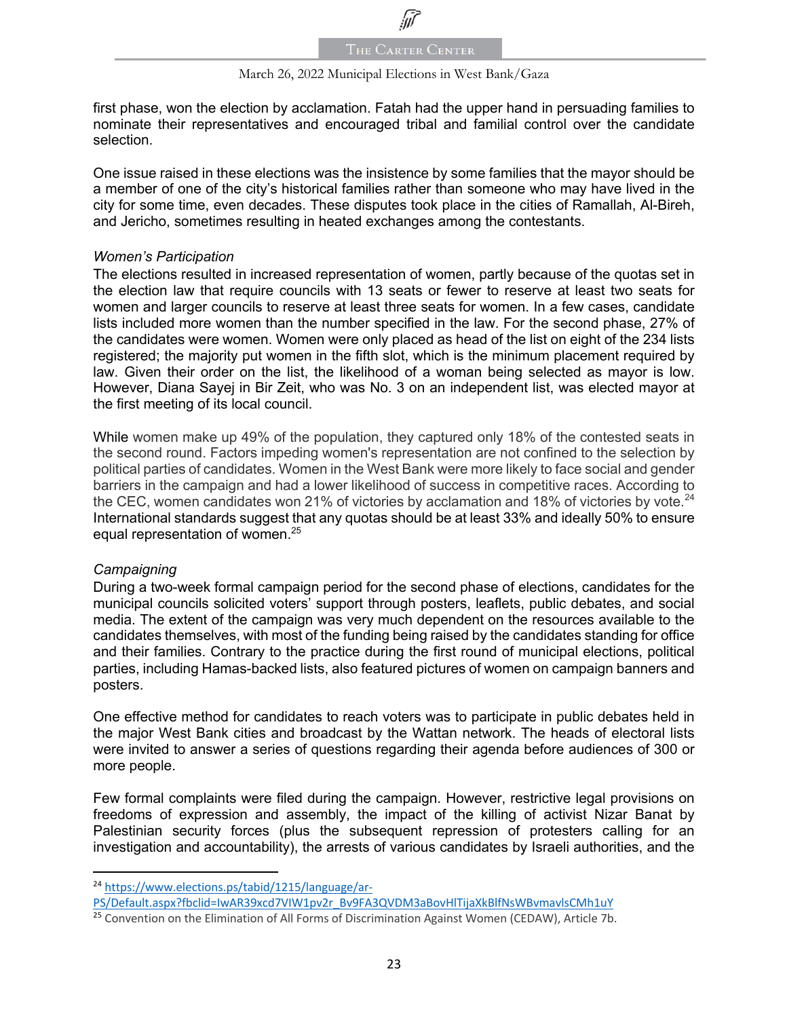first phase, won the election by acclamation. Fatah had the upper hand in persuading families to nominate their representatives and encouraged tribal and familial control over the candidate selection.

One issue raised in these elections was the insistence by some families that the mayor should be a member of one of the city's historical families rather than someone who may have lived in the city for some time, even decades. These disputes took place in the cities of Ramallah, Al-Bireh, and Jericho, sometimes resulting in heated exchanges among the contestants.

#### *Women's Participation*

The elections resulted in increased representation of women, partly because of the quotas set in the election law that require councils with 13 seats or fewer to reserve at least two seats for women and larger councils to reserve at least three seats for women. In a few cases, candidate lists included more women than the number specified in the law. For the second phase, 27% of the candidates were women. Women were only placed as head of the list on eight of the 234 lists registered; the majority put women in the fifth slot, which is the minimum placement required by law. Given their order on the list, the likelihood of a woman being selected as mayor is low. However, Diana Sayej in Bir Zeit, who was No. 3 on an independent list, was elected mayor at the first meeting of its local council.

While women make up 49% of the population, they captured only 18% of the contested seats in the second round. Factors impeding women's representation are not confined to the selection by political parties of candidates. Women in the West Bank were more likely to face social and gender barriers in the campaign and had a lower likelihood of success in competitive races. According to the CEC, women candidates won 21% of victories by acclamation and 18% of victories by vote. $^{24}$ International standards suggest that any quotas should be at least 33% and ideally 50% to ensure equal representation of women.<sup>25</sup>

### *Campaigning*

During a two-week formal campaign period for the second phase of elections, candidates for the municipal councils solicited voters' support through posters, leaflets, public debates, and social media. The extent of the campaign was very much dependent on the resources available to the candidates themselves, with most of the funding being raised by the candidates standing for office and their families. Contrary to the practice during the first round of municipal elections, political parties, including Hamas-backed lists, also featured pictures of women on campaign banners and posters.

One effective method for candidates to reach voters was to participate in public debates held in the major West Bank cities and broadcast by the Wattan network. The heads of electoral lists were invited to answer a series of questions regarding their agenda before audiences of 300 or more people.

Few formal complaints were filed during the campaign. However, restrictive legal provisions on freedoms of expression and assembly, the impact of the killing of activist Nizar Banat by Palestinian security forces (plus the subsequent repression of protesters calling for an investigation and accountability), the arrests of various candidates by Israeli authorities, and the

<sup>24</sup> https://www.elections.ps/tabid/1215/language/ar-PS/Default.aspx?fbclid=IwAR39xcd7VIW1pv2r\_Bv9FA3QVDM3aBovHlTijaXkBlfNsWBvmavlsCMh1uY

<sup>&</sup>lt;sup>25</sup> Convention on the Elimination of All Forms of Discrimination Against Women (CEDAW), Article 7b.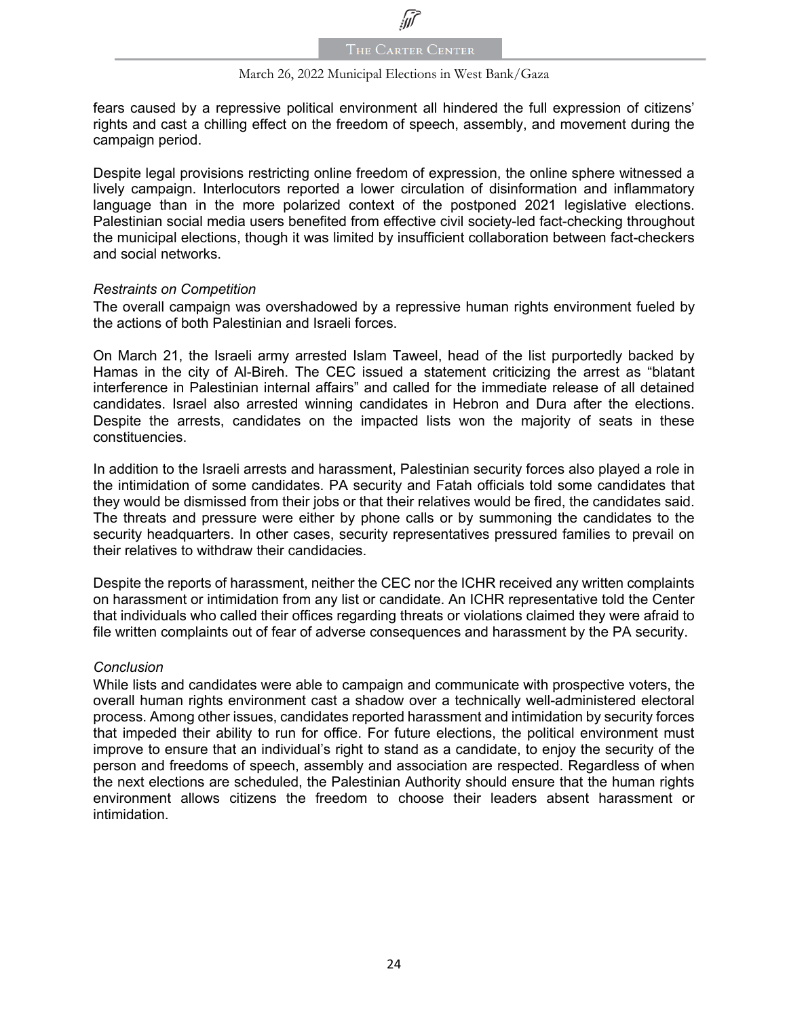

#### March 26, 2022 Municipal Elections in West Bank/Gaza

fears caused by a repressive political environment all hindered the full expression of citizens' rights and cast a chilling effect on the freedom of speech, assembly, and movement during the campaign period.

Despite legal provisions restricting online freedom of expression, the online sphere witnessed a lively campaign. Interlocutors reported a lower circulation of disinformation and inflammatory language than in the more polarized context of the postponed 2021 legislative elections. Palestinian social media users benefited from effective civil society-led fact-checking throughout the municipal elections, though it was limited by insufficient collaboration between fact-checkers and social networks.

#### *Restraints on Competition*

The overall campaign was overshadowed by a repressive human rights environment fueled by the actions of both Palestinian and Israeli forces.

On March 21, the Israeli army arrested Islam Taweel, head of the list purportedly backed by Hamas in the city of Al-Bireh. The CEC issued a statement criticizing the arrest as "blatant interference in Palestinian internal affairs" and called for the immediate release of all detained candidates. Israel also arrested winning candidates in Hebron and Dura after the elections. Despite the arrests, candidates on the impacted lists won the majority of seats in these constituencies.

In addition to the Israeli arrests and harassment, Palestinian security forces also played a role in the intimidation of some candidates. PA security and Fatah officials told some candidates that they would be dismissed from their jobs or that their relatives would be fired, the candidates said. The threats and pressure were either by phone calls or by summoning the candidates to the security headquarters. In other cases, security representatives pressured families to prevail on their relatives to withdraw their candidacies.

Despite the reports of harassment, neither the CEC nor the ICHR received any written complaints on harassment or intimidation from any list or candidate. An ICHR representative told the Center that individuals who called their offices regarding threats or violations claimed they were afraid to file written complaints out of fear of adverse consequences and harassment by the PA security.

#### *Conclusion*

While lists and candidates were able to campaign and communicate with prospective voters, the overall human rights environment cast a shadow over a technically well-administered electoral process. Among other issues, candidates reported harassment and intimidation by security forces that impeded their ability to run for office. For future elections, the political environment must improve to ensure that an individual's right to stand as a candidate, to enjoy the security of the person and freedoms of speech, assembly and association are respected. Regardless of when the next elections are scheduled, the Palestinian Authority should ensure that the human rights environment allows citizens the freedom to choose their leaders absent harassment or intimidation.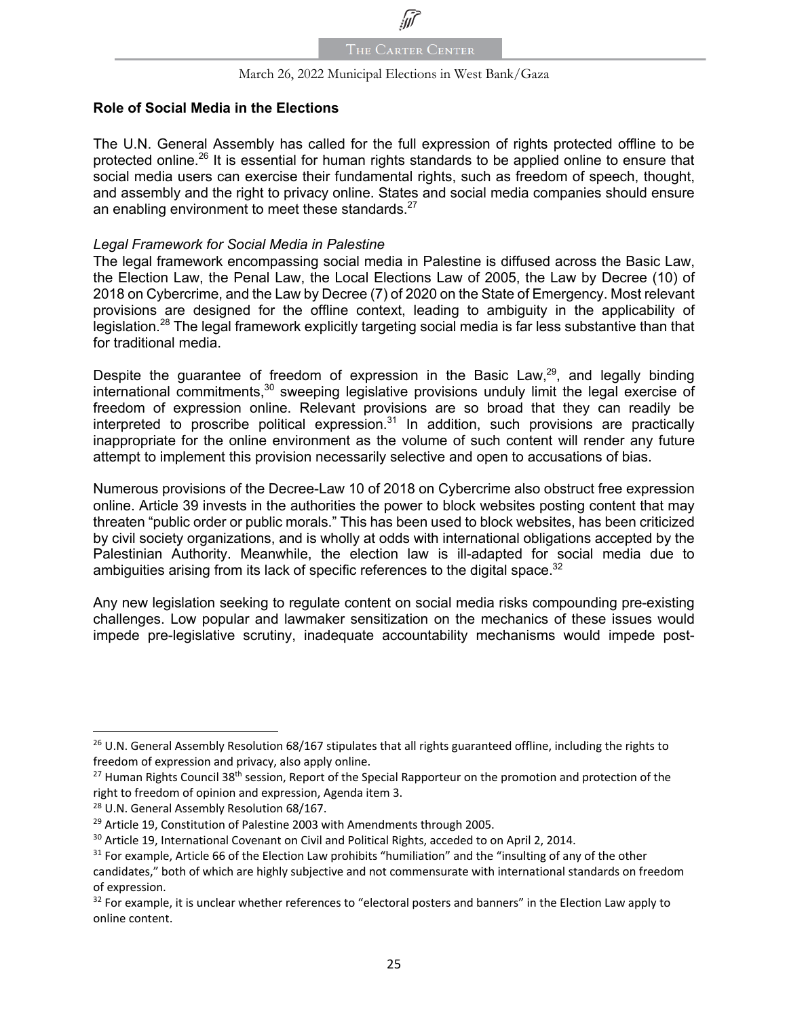#### March 26, 2022 Municipal Elections in West Bank/Gaza

#### **Role of Social Media in the Elections**

The U.N. General Assembly has called for the full expression of rights protected offline to be protected online.<sup>26</sup> It is essential for human rights standards to be applied online to ensure that social media users can exercise their fundamental rights, such as freedom of speech, thought, and assembly and the right to privacy online. States and social media companies should ensure an enabling environment to meet these standards. $27$ 

#### *Legal Framework for Social Media in Palestine*

The legal framework encompassing social media in Palestine is diffused across the Basic Law, the Election Law, the Penal Law, the Local Elections Law of 2005, the Law by Decree (10) of 2018 on Cybercrime, and the Law by Decree (7) of 2020 on the State of Emergency. Most relevant provisions are designed for the offline context, leading to ambiguity in the applicability of legislation.<sup>28</sup> The legal framework explicitly targeting social media is far less substantive than that for traditional media.

Despite the guarantee of freedom of expression in the Basic Law, $29$ , and legally binding international commitments, $30$  sweeping legislative provisions unduly limit the legal exercise of freedom of expression online. Relevant provisions are so broad that they can readily be interpreted to proscribe political expression.<sup>31</sup> In addition, such provisions are practically inappropriate for the online environment as the volume of such content will render any future attempt to implement this provision necessarily selective and open to accusations of bias.

Numerous provisions of the Decree-Law 10 of 2018 on Cybercrime also obstruct free expression online. Article 39 invests in the authorities the power to block websites posting content that may threaten "public order or public morals." This has been used to block websites, has been criticized by civil society organizations, and is wholly at odds with international obligations accepted by the Palestinian Authority. Meanwhile, the election law is ill-adapted for social media due to ambiguities arising from its lack of specific references to the digital space.<sup>32</sup>

Any new legislation seeking to regulate content on social media risks compounding pre-existing challenges. Low popular and lawmaker sensitization on the mechanics of these issues would impede pre-legislative scrutiny, inadequate accountability mechanisms would impede post-

 $^{26}$  U.N. General Assembly Resolution 68/167 stipulates that all rights guaranteed offline, including the rights to freedom of expression and privacy, also apply online.<br><sup>27</sup> Human Rights Council 38<sup>th</sup> session, Report of the Special Rapporteur on the promotion and protection of the

right to freedom of opinion and expression, Agenda item 3.

<sup>&</sup>lt;sup>28</sup> U.N. General Assembly Resolution 68/167.

<sup>&</sup>lt;sup>29</sup> Article 19, Constitution of Palestine 2003 with Amendments through 2005.

<sup>&</sup>lt;sup>30</sup> Article 19, International Covenant on Civil and Political Rights, acceded to on April 2, 2014.

<sup>&</sup>lt;sup>31</sup> For example, Article 66 of the Election Law prohibits "humiliation" and the "insulting of any of the other candidates," both of which are highly subjective and not commensurate with international standards on freedom of expression.

 $32$  For example, it is unclear whether references to "electoral posters and banners" in the Election Law apply to online content.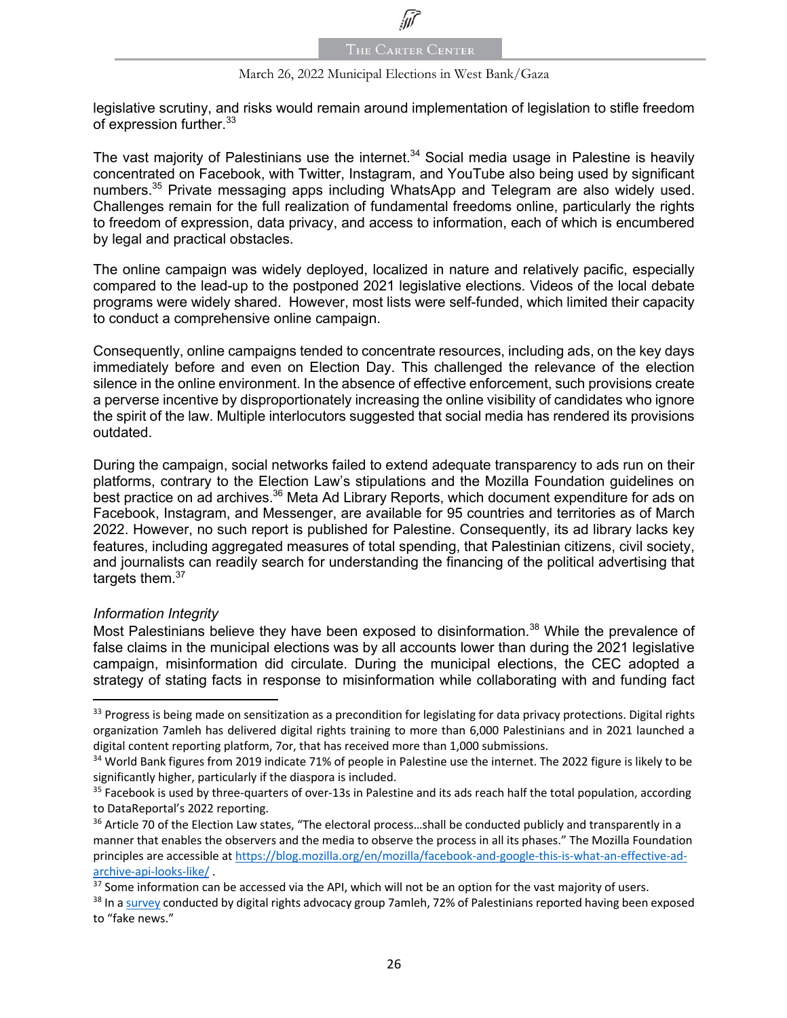

legislative scrutiny, and risks would remain around implementation of legislation to stifle freedom of expression further.<sup>33</sup>

The vast majority of Palestinians use the internet.<sup>34</sup> Social media usage in Palestine is heavily concentrated on Facebook, with Twitter, Instagram, and YouTube also being used by significant numbers.<sup>35</sup> Private messaging apps including WhatsApp and Telegram are also widely used. Challenges remain for the full realization of fundamental freedoms online, particularly the rights to freedom of expression, data privacy, and access to information, each of which is encumbered by legal and practical obstacles.

The online campaign was widely deployed, localized in nature and relatively pacific, especially compared to the lead-up to the postponed 2021 legislative elections. Videos of the local debate programs were widely shared. However, most lists were self-funded, which limited their capacity to conduct a comprehensive online campaign.

Consequently, online campaigns tended to concentrate resources, including ads, on the key days immediately before and even on Election Day. This challenged the relevance of the election silence in the online environment. In the absence of effective enforcement, such provisions create a perverse incentive by disproportionately increasing the online visibility of candidates who ignore the spirit of the law. Multiple interlocutors suggested that social media has rendered its provisions outdated.

During the campaign, social networks failed to extend adequate transparency to ads run on their platforms, contrary to the Election Law's stipulations and the Mozilla Foundation guidelines on best practice on ad archives.<sup>36</sup> Meta Ad Library Reports, which document expenditure for ads on Facebook, Instagram, and Messenger, are available for 95 countries and territories as of March 2022. However, no such report is published for Palestine. Consequently, its ad library lacks key features, including aggregated measures of total spending, that Palestinian citizens, civil society, and journalists can readily search for understanding the financing of the political advertising that targets them. $37$ 

#### *Information Integrity*

Most Palestinians believe they have been exposed to disinformation.<sup>38</sup> While the prevalence of false claims in the municipal elections was by all accounts lower than during the 2021 legislative campaign, misinformation did circulate. During the municipal elections, the CEC adopted a strategy of stating facts in response to misinformation while collaborating with and funding fact

<sup>33</sup> Progress is being made on sensitization as a precondition for legislating for data privacy protections. Digital rights organization 7amleh has delivered digital rights training to more than 6,000 Palestinians and in 2021 launched a digital content reporting platform, 7or, that has received more than 1,000 submissions.

<sup>34</sup> World Bank figures from 2019 indicate 71% of people in Palestine use the internet. The 2022 figure is likely to be significantly higher, particularly if the diaspora is included.

 $35$  Facebook is used by three-quarters of over-13s in Palestine and its ads reach half the total population, according to DataReportal's 2022 reporting.

<sup>&</sup>lt;sup>36</sup> Article 70 of the Election Law states, "The electoral process...shall be conducted publicly and transparently in a manner that enables the observers and the media to observe the process in all its phases." The Mozilla Foundation principles are accessible at https://blog.mozilla.org/en/mozilla/facebook-and-google-this-is-what-an-effective-adarchive-api-looks-like/ .

<sup>&</sup>lt;sup>37</sup> Some information can be accessed via the API, which will not be an option for the vast majority of users.

<sup>&</sup>lt;sup>38</sup> In a survey conducted by digital rights advocacy group 7amleh, 72% of Palestinians reported having been exposed to "fake news."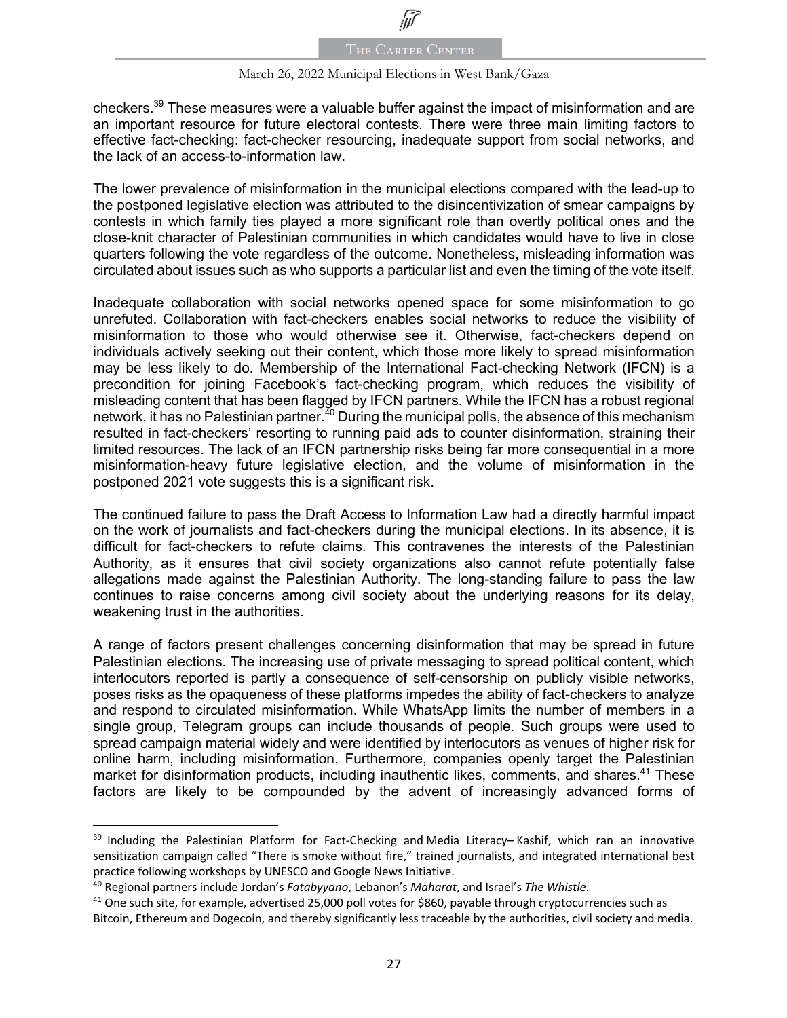#### March 26, 2022 Municipal Elections in West Bank/Gaza

checkers.<sup>39</sup> These measures were a valuable buffer against the impact of misinformation and are an important resource for future electoral contests. There were three main limiting factors to effective fact-checking: fact-checker resourcing, inadequate support from social networks, and the lack of an access-to-information law.

The lower prevalence of misinformation in the municipal elections compared with the lead-up to the postponed legislative election was attributed to the disincentivization of smear campaigns by contests in which family ties played a more significant role than overtly political ones and the close-knit character of Palestinian communities in which candidates would have to live in close quarters following the vote regardless of the outcome. Nonetheless, misleading information was circulated about issues such as who supports a particular list and even the timing of the vote itself.

Inadequate collaboration with social networks opened space for some misinformation to go unrefuted. Collaboration with fact-checkers enables social networks to reduce the visibility of misinformation to those who would otherwise see it. Otherwise, fact-checkers depend on individuals actively seeking out their content, which those more likely to spread misinformation may be less likely to do. Membership of the International Fact-checking Network (IFCN) is a precondition for joining Facebook's fact-checking program, which reduces the visibility of misleading content that has been flagged by IFCN partners. While the IFCN has a robust regional network, it has no Palestinian partner.<sup>40</sup> During the municipal polls, the absence of this mechanism resulted in fact-checkers' resorting to running paid ads to counter disinformation, straining their limited resources. The lack of an IFCN partnership risks being far more consequential in a more misinformation-heavy future legislative election, and the volume of misinformation in the postponed 2021 vote suggests this is a significant risk.

The continued failure to pass the Draft Access to Information Law had a directly harmful impact on the work of journalists and fact-checkers during the municipal elections. In its absence, it is difficult for fact-checkers to refute claims. This contravenes the interests of the Palestinian Authority, as it ensures that civil society organizations also cannot refute potentially false allegations made against the Palestinian Authority. The long-standing failure to pass the law continues to raise concerns among civil society about the underlying reasons for its delay, weakening trust in the authorities.

A range of factors present challenges concerning disinformation that may be spread in future Palestinian elections. The increasing use of private messaging to spread political content, which interlocutors reported is partly a consequence of self-censorship on publicly visible networks, poses risks as the opaqueness of these platforms impedes the ability of fact-checkers to analyze and respond to circulated misinformation. While WhatsApp limits the number of members in a single group, Telegram groups can include thousands of people. Such groups were used to spread campaign material widely and were identified by interlocutors as venues of higher risk for online harm, including misinformation. Furthermore, companies openly target the Palestinian market for disinformation products, including inauthentic likes, comments, and shares.<sup>41</sup> These factors are likely to be compounded by the advent of increasingly advanced forms of

 $39$  Including the Palestinian Platform for Fact-Checking and Media Literacy– Kashif, which ran an innovative sensitization campaign called "There is smoke without fire," trained journalists, and integrated international best practice following workshops by UNESCO and Google News Initiative.

<sup>40</sup> Regional partners include Jordan's *Fatabyyano*, Lebanon's *Maharat*, and Israel's *The Whistle*.

 $41$  One such site, for example, advertised 25,000 poll votes for \$860, payable through cryptocurrencies such as Bitcoin, Ethereum and Dogecoin, and thereby significantly less traceable by the authorities, civil society and media.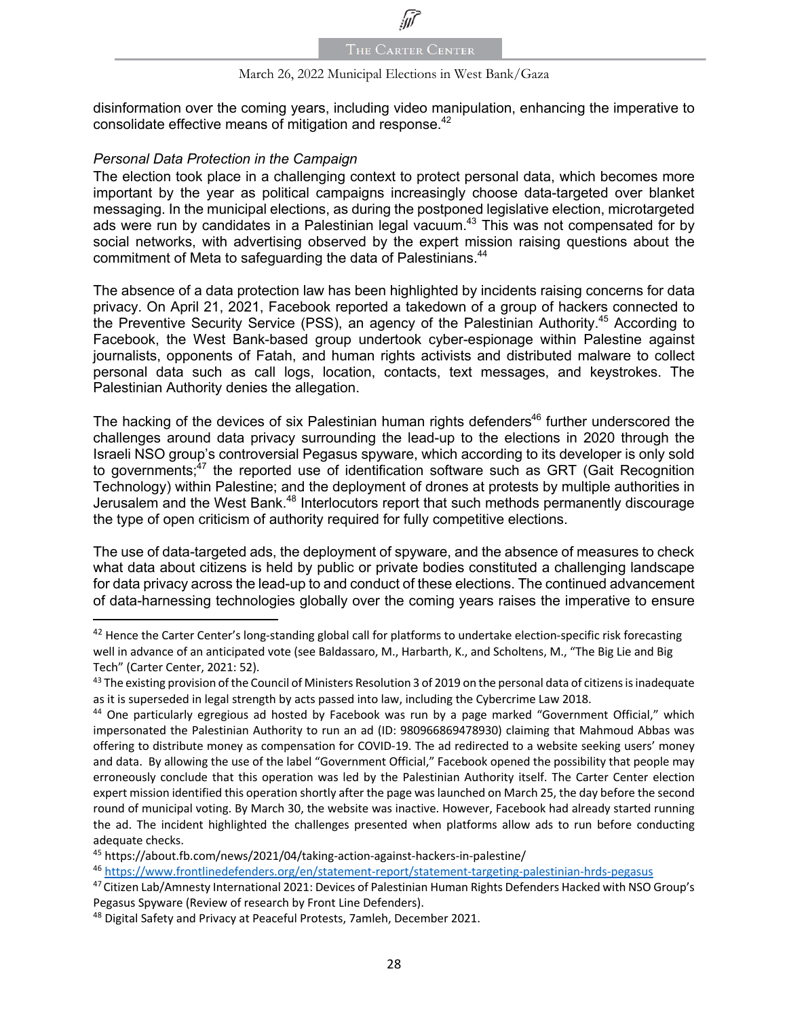

#### March 26, 2022 Municipal Elections in West Bank/Gaza

disinformation over the coming years, including video manipulation, enhancing the imperative to consolidate effective means of mitigation and response.<sup>42</sup>

#### *Personal Data Protection in the Campaign*

The election took place in a challenging context to protect personal data, which becomes more important by the year as political campaigns increasingly choose data-targeted over blanket messaging. In the municipal elections, as during the postponed legislative election, microtargeted ads were run by candidates in a Palestinian legal vacuum.<sup>43</sup> This was not compensated for by social networks, with advertising observed by the expert mission raising questions about the commitment of Meta to safeguarding the data of Palestinians.<sup>44</sup>

The absence of a data protection law has been highlighted by incidents raising concerns for data privacy. On April 21, 2021, Facebook reported a takedown of a group of hackers connected to the Preventive Security Service (PSS), an agency of the Palestinian Authority.<sup>45</sup> According to Facebook, the West Bank-based group undertook cyber-espionage within Palestine against journalists, opponents of Fatah, and human rights activists and distributed malware to collect personal data such as call logs, location, contacts, text messages, and keystrokes. The Palestinian Authority denies the allegation.

The hacking of the devices of six Palestinian human rights defenders<sup>46</sup> further underscored the challenges around data privacy surrounding the lead-up to the elections in 2020 through the Israeli NSO group's controversial Pegasus spyware, which according to its developer is only sold to governments;<sup>47</sup> the reported use of identification software such as GRT (Gait Recognition Technology) within Palestine; and the deployment of drones at protests by multiple authorities in Jerusalem and the West Bank.<sup>48</sup> Interlocutors report that such methods permanently discourage the type of open criticism of authority required for fully competitive elections.

The use of data-targeted ads, the deployment of spyware, and the absence of measures to check what data about citizens is held by public or private bodies constituted a challenging landscape for data privacy across the lead-up to and conduct of these elections. The continued advancement of data-harnessing technologies globally over the coming years raises the imperative to ensure

<sup>&</sup>lt;sup>42</sup> Hence the Carter Center's long-standing global call for platforms to undertake election-specific risk forecasting well in advance of an anticipated vote (see Baldassaro, M., Harbarth, K., and Scholtens, M., "The Big Lie and Big Tech" (Carter Center, 2021: 52).

 $43$  The existing provision of the Council of Ministers Resolution 3 of 2019 on the personal data of citizens is inadequate as it is superseded in legal strength by acts passed into law, including the Cybercrime Law 2018.

<sup>44</sup> One particularly egregious ad hosted by Facebook was run by a page marked "Government Official," which impersonated the Palestinian Authority to run an ad (ID: 980966869478930) claiming that Mahmoud Abbas was offering to distribute money as compensation for COVID-19. The ad redirected to a website seeking users' money and data. By allowing the use of the label "Government Official," Facebook opened the possibility that people may erroneously conclude that this operation was led by the Palestinian Authority itself. The Carter Center election expert mission identified this operation shortly after the page was launched on March 25, the day before the second round of municipal voting. By March 30, the website was inactive. However, Facebook had already started running the ad. The incident highlighted the challenges presented when platforms allow ads to run before conducting adequate checks.

<sup>45</sup> https://about.fb.com/news/2021/04/taking-action-against-hackers-in-palestine/

<sup>46</sup> https://www.frontlinedefenders.org/en/statement-report/statement-targeting-palestinian-hrds-pegasus

<sup>47</sup> Citizen Lab/Amnesty International 2021: Devices of Palestinian Human Rights Defenders Hacked with NSO Group's Pegasus Spyware (Review of research by Front Line Defenders).

<sup>48</sup> Digital Safety and Privacy at Peaceful Protests, 7amleh, December 2021.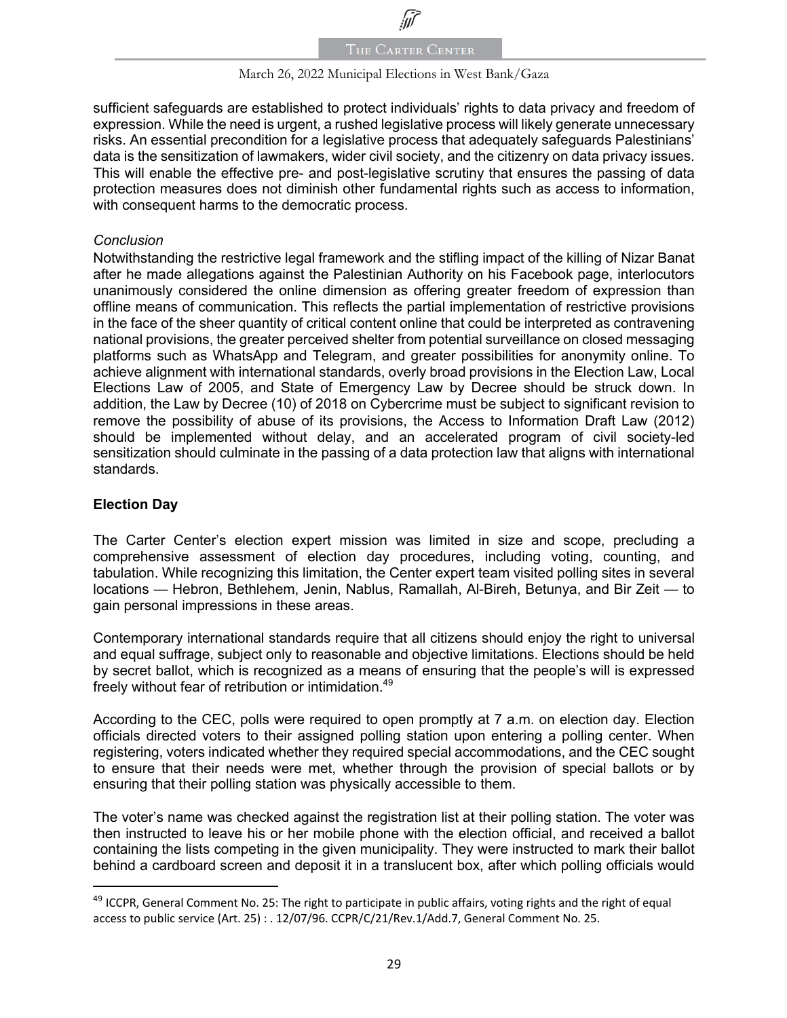

#### March 26, 2022 Municipal Elections in West Bank/Gaza

sufficient safeguards are established to protect individuals' rights to data privacy and freedom of expression. While the need is urgent, a rushed legislative process will likely generate unnecessary risks. An essential precondition for a legislative process that adequately safeguards Palestinians' data is the sensitization of lawmakers, wider civil society, and the citizenry on data privacy issues. This will enable the effective pre- and post-legislative scrutiny that ensures the passing of data protection measures does not diminish other fundamental rights such as access to information, with consequent harms to the democratic process.

#### *Conclusion*

Notwithstanding the restrictive legal framework and the stifling impact of the killing of Nizar Banat after he made allegations against the Palestinian Authority on his Facebook page, interlocutors unanimously considered the online dimension as offering greater freedom of expression than offline means of communication. This reflects the partial implementation of restrictive provisions in the face of the sheer quantity of critical content online that could be interpreted as contravening national provisions, the greater perceived shelter from potential surveillance on closed messaging platforms such as WhatsApp and Telegram, and greater possibilities for anonymity online. To achieve alignment with international standards, overly broad provisions in the Election Law, Local Elections Law of 2005, and State of Emergency Law by Decree should be struck down. In addition, the Law by Decree (10) of 2018 on Cybercrime must be subject to significant revision to remove the possibility of abuse of its provisions, the Access to Information Draft Law (2012) should be implemented without delay, and an accelerated program of civil society-led sensitization should culminate in the passing of a data protection law that aligns with international standards.

### **Election Day**

The Carter Center's election expert mission was limited in size and scope, precluding a comprehensive assessment of election day procedures, including voting, counting, and tabulation. While recognizing this limitation, the Center expert team visited polling sites in several locations — Hebron, Bethlehem, Jenin, Nablus, Ramallah, Al-Bireh, Betunya, and Bir Zeit — to gain personal impressions in these areas.

Contemporary international standards require that all citizens should enjoy the right to universal and equal suffrage, subject only to reasonable and objective limitations. Elections should be held by secret ballot, which is recognized as a means of ensuring that the people's will is expressed freely without fear of retribution or intimidation.<sup>49</sup>

According to the CEC, polls were required to open promptly at 7 a.m. on election day. Election officials directed voters to their assigned polling station upon entering a polling center. When registering, voters indicated whether they required special accommodations, and the CEC sought to ensure that their needs were met, whether through the provision of special ballots or by ensuring that their polling station was physically accessible to them.

The voter's name was checked against the registration list at their polling station. The voter was then instructed to leave his or her mobile phone with the election official, and received a ballot containing the lists competing in the given municipality. They were instructed to mark their ballot behind a cardboard screen and deposit it in a translucent box, after which polling officials would

<sup>&</sup>lt;sup>49</sup> ICCPR, General Comment No. 25: The right to participate in public affairs, voting rights and the right of equal access to public service (Art. 25) : . 12/07/96. CCPR/C/21/Rev.1/Add.7, General Comment No. 25.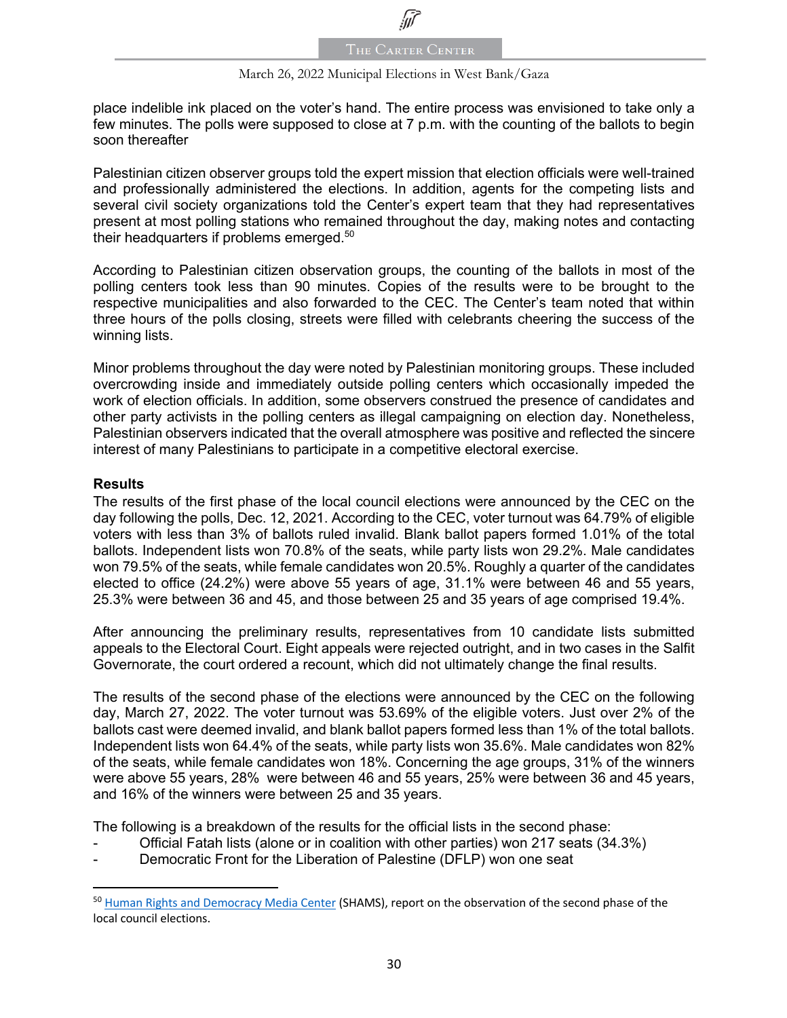

#### March 26, 2022 Municipal Elections in West Bank/Gaza

place indelible ink placed on the voter's hand. The entire process was envisioned to take only a few minutes. The polls were supposed to close at 7 p.m. with the counting of the ballots to begin soon thereafter

Palestinian citizen observer groups told the expert mission that election officials were well-trained and professionally administered the elections. In addition, agents for the competing lists and several civil society organizations told the Center's expert team that they had representatives present at most polling stations who remained throughout the day, making notes and contacting their headquarters if problems emerged.<sup>50</sup>

According to Palestinian citizen observation groups, the counting of the ballots in most of the polling centers took less than 90 minutes. Copies of the results were to be brought to the respective municipalities and also forwarded to the CEC. The Center's team noted that within three hours of the polls closing, streets were filled with celebrants cheering the success of the winning lists.

Minor problems throughout the day were noted by Palestinian monitoring groups. These included overcrowding inside and immediately outside polling centers which occasionally impeded the work of election officials. In addition, some observers construed the presence of candidates and other party activists in the polling centers as illegal campaigning on election day. Nonetheless, Palestinian observers indicated that the overall atmosphere was positive and reflected the sincere interest of many Palestinians to participate in a competitive electoral exercise.

#### **Results**

The results of the first phase of the local council elections were announced by the CEC on the day following the polls, Dec. 12, 2021. According to the CEC, voter turnout was 64.79% of eligible voters with less than 3% of ballots ruled invalid. Blank ballot papers formed 1.01% of the total ballots. Independent lists won 70.8% of the seats, while party lists won 29.2%. Male candidates won 79.5% of the seats, while female candidates won 20.5%. Roughly a quarter of the candidates elected to office (24.2%) were above 55 years of age, 31.1% were between 46 and 55 years, 25.3% were between 36 and 45, and those between 25 and 35 years of age comprised 19.4%.

After announcing the preliminary results, representatives from 10 candidate lists submitted appeals to the Electoral Court. Eight appeals were rejected outright, and in two cases in the Salfit Governorate, the court ordered a recount, which did not ultimately change the final results.

The results of the second phase of the elections were announced by the CEC on the following day, March 27, 2022. The voter turnout was 53.69% of the eligible voters. Just over 2% of the ballots cast were deemed invalid, and blank ballot papers formed less than 1% of the total ballots. Independent lists won 64.4% of the seats, while party lists won 35.6%. Male candidates won 82% of the seats, while female candidates won 18%. Concerning the age groups, 31% of the winners were above 55 years, 28% were between 46 and 55 years, 25% were between 36 and 45 years, and 16% of the winners were between 25 and 35 years.

The following is a breakdown of the results for the official lists in the second phase:

- Official Fatah lists (alone or in coalition with other parties) won 217 seats (34.3%)
- Democratic Front for the Liberation of Palestine (DFLP) won one seat

<sup>&</sup>lt;sup>50</sup> Human Rights and Democracy Media Center (SHAMS), report on the observation of the second phase of the local council elections.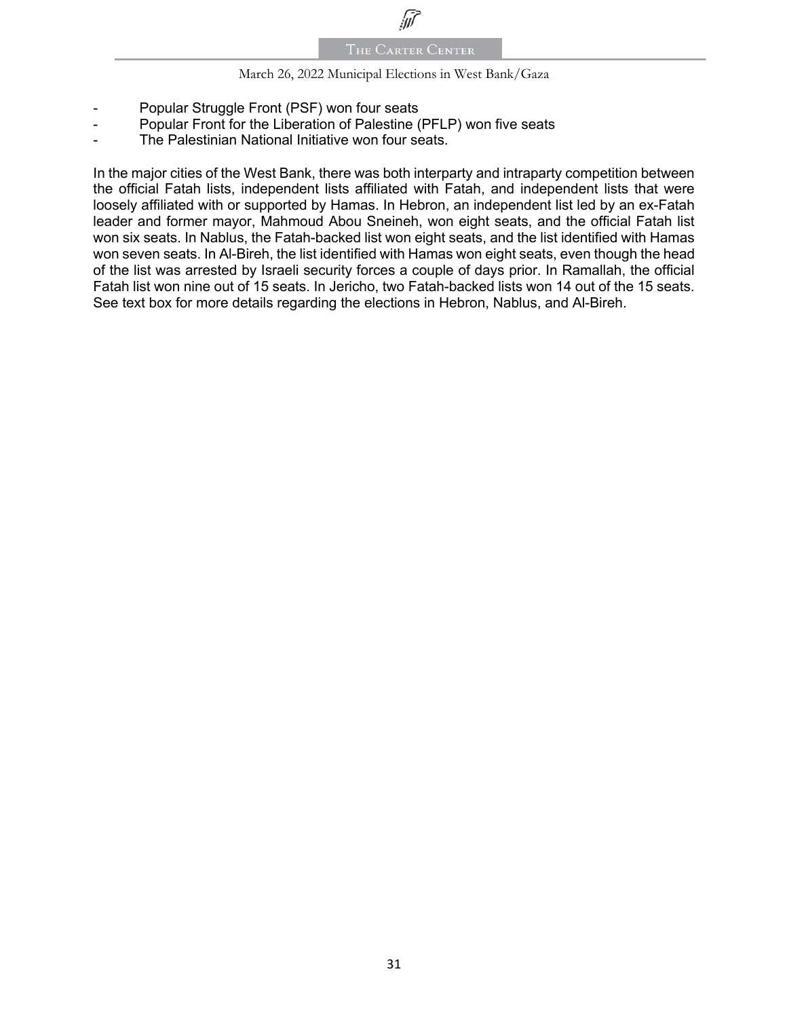

- Popular Struggle Front (PSF) won four seats
- Popular Front for the Liberation of Palestine (PFLP) won five seats
- The Palestinian National Initiative won four seats.

In the major cities of the West Bank, there was both interparty and intraparty competition between the official Fatah lists, independent lists affiliated with Fatah, and independent lists that were loosely affiliated with or supported by Hamas. In Hebron, an independent list led by an ex-Fatah leader and former mayor, Mahmoud Abou Sneineh, won eight seats, and the official Fatah list won six seats. In Nablus, the Fatah-backed list won eight seats, and the list identified with Hamas won seven seats. In Al-Bireh, the list identified with Hamas won eight seats, even though the head of the list was arrested by Israeli security forces a couple of days prior. In Ramallah, the official Fatah list won nine out of 15 seats. In Jericho, two Fatah-backed lists won 14 out of the 15 seats. See text box for more details regarding the elections in Hebron, Nablus, and Al-Bireh.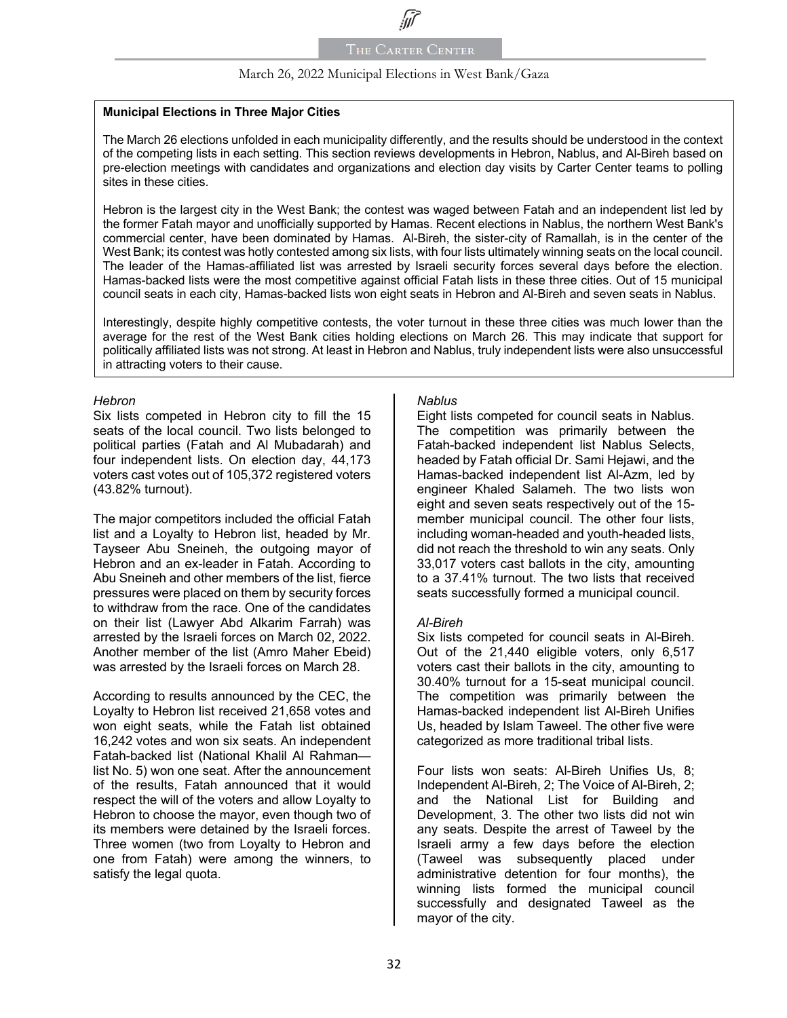#### **Municipal Elections in Three Major Cities**

The March 26 elections unfolded in each municipality differently, and the results should be understood in the context of the competing lists in each setting. This section reviews developments in Hebron, Nablus, and Al-Bireh based on pre-election meetings with candidates and organizations and election day visits by Carter Center teams to polling sites in these cities.

Hebron is the largest city in the West Bank; the contest was waged between Fatah and an independent list led by the former Fatah mayor and unofficially supported by Hamas. Recent elections in Nablus, the northern West Bank's commercial center, have been dominated by Hamas. Al-Bireh, the sister-city of Ramallah, is in the center of the West Bank; its contest was hotly contested among six lists, with four lists ultimately winning seats on the local council. The leader of the Hamas-affiliated list was arrested by Israeli security forces several days before the election. Hamas-backed lists were the most competitive against official Fatah lists in these three cities. Out of 15 municipal council seats in each city, Hamas-backed lists won eight seats in Hebron and Al-Bireh and seven seats in Nablus.

Interestingly, despite highly competitive contests, the voter turnout in these three cities was much lower than the average for the rest of the West Bank cities holding elections on March 26. This may indicate that support for politically affiliated lists was not strong. At least in Hebron and Nablus, truly independent lists were also unsuccessful in attracting voters to their cause.

#### *Hebron*

Six lists competed in Hebron city to fill the 15 seats of the local council. Two lists belonged to political parties (Fatah and Al Mubadarah) and four independent lists. On election day, 44,173 voters cast votes out of 105,372 registered voters (43.82% turnout).

The major competitors included the official Fatah list and a Loyalty to Hebron list, headed by Mr. Tayseer Abu Sneineh, the outgoing mayor of Hebron and an ex-leader in Fatah. According to Abu Sneineh and other members of the list, fierce pressures were placed on them by security forces to withdraw from the race. One of the candidates on their list (Lawyer Abd Alkarim Farrah) was arrested by the Israeli forces on March 02, 2022. Another member of the list (Amro Maher Ebeid) was arrested by the Israeli forces on March 28.

According to results announced by the CEC, the Loyalty to Hebron list received 21,658 votes and won eight seats, while the Fatah list obtained 16,242 votes and won six seats. An independent Fatah-backed list (National Khalil Al Rahman list No. 5) won one seat. After the announcement of the results, Fatah announced that it would respect the will of the voters and allow Loyalty to Hebron to choose the mayor, even though two of its members were detained by the Israeli forces. Three women (two from Loyalty to Hebron and one from Fatah) were among the winners, to satisfy the legal quota.

#### *Nablus*

Eight lists competed for council seats in Nablus. The competition was primarily between the Fatah-backed independent list Nablus Selects, headed by Fatah official Dr. Sami Hejawi, and the Hamas-backed independent list Al-Azm, led by engineer Khaled Salameh. The two lists won eight and seven seats respectively out of the 15 member municipal council. The other four lists, including woman-headed and youth-headed lists, did not reach the threshold to win any seats. Only 33,017 voters cast ballots in the city, amounting to a 37.41% turnout. The two lists that received seats successfully formed a municipal council.

#### *Al-Bireh*

Six lists competed for council seats in Al-Bireh. Out of the 21,440 eligible voters, only 6,517 voters cast their ballots in the city, amounting to 30.40% turnout for a 15-seat municipal council. The competition was primarily between the Hamas-backed independent list Al-Bireh Unifies Us, headed by Islam Taweel. The other five were categorized as more traditional tribal lists.

Four lists won seats: Al-Bireh Unifies Us, 8; Independent Al-Bireh, 2; The Voice of Al-Bireh, 2; and the National List for Building and Development, 3. The other two lists did not win any seats. Despite the arrest of Taweel by the Israeli army a few days before the election (Taweel was subsequently placed under administrative detention for four months), the winning lists formed the municipal council successfully and designated Taweel as the mayor of the city.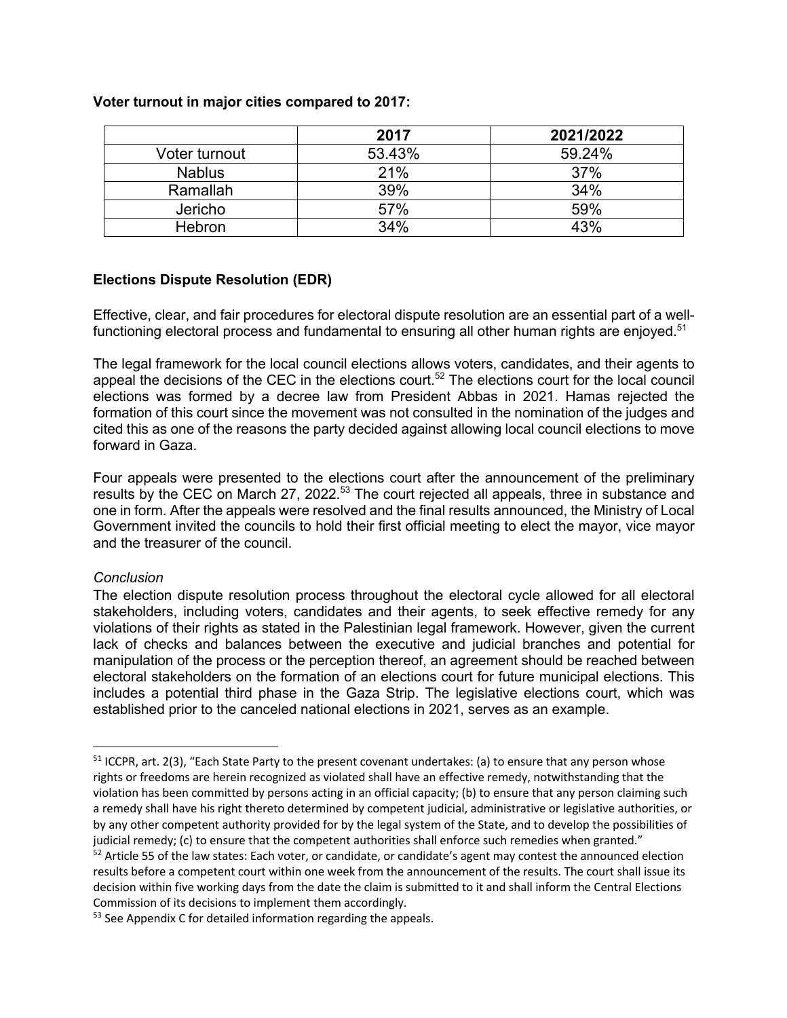|               | 2017   | 2021/2022 |
|---------------|--------|-----------|
| Voter turnout | 53.43% | 59.24%    |
| <b>Nablus</b> | 21%    | 37%       |
| Ramallah      | 39%    | 34%       |
| Jericho       | 57%    | 59%       |
| Hebron        | 34%    | 43%       |

#### **Voter turnout in major cities compared to 2017:**

#### **Elections Dispute Resolution (EDR)**

Effective, clear, and fair procedures for electoral dispute resolution are an essential part of a wellfunctioning electoral process and fundamental to ensuring all other human rights are enjoyed.<sup>51</sup>

The legal framework for the local council elections allows voters, candidates, and their agents to appeal the decisions of the CEC in the elections court.<sup>52</sup> The elections court for the local council elections was formed by a decree law from President Abbas in 2021. Hamas rejected the formation of this court since the movement was not consulted in the nomination of the judges and cited this as one of the reasons the party decided against allowing local council elections to move forward in Gaza.

Four appeals were presented to the elections court after the announcement of the preliminary results by the CEC on March 27, 2022.<sup>53</sup> The court rejected all appeals, three in substance and one in form. After the appeals were resolved and the final results announced, the Ministry of Local Government invited the councils to hold their first official meeting to elect the mayor, vice mayor and the treasurer of the council.

#### *Conclusion*

The election dispute resolution process throughout the electoral cycle allowed for all electoral stakeholders, including voters, candidates and their agents, to seek effective remedy for any violations of their rights as stated in the Palestinian legal framework. However, given the current lack of checks and balances between the executive and judicial branches and potential for manipulation of the process or the perception thereof, an agreement should be reached between electoral stakeholders on the formation of an elections court for future municipal elections. This includes a potential third phase in the Gaza Strip. The legislative elections court, which was established prior to the canceled national elections in 2021, serves as an example.

 $51$  ICCPR, art. 2(3), "Each State Party to the present covenant undertakes: (a) to ensure that any person whose rights or freedoms are herein recognized as violated shall have an effective remedy, notwithstanding that the violation has been committed by persons acting in an official capacity; (b) to ensure that any person claiming such a remedy shall have his right thereto determined by competent judicial, administrative or legislative authorities, or by any other competent authority provided for by the legal system of the State, and to develop the possibilities of judicial remedy; (c) to ensure that the competent authorities shall enforce such remedies when granted."

 $52$  Article 55 of the law states: Each voter, or candidate, or candidate's agent may contest the announced election results before a competent court within one week from the announcement of the results. The court shall issue its decision within five working days from the date the claim is submitted to it and shall inform the Central Elections Commission of its decisions to implement them accordingly.

 $53$  See Appendix C for detailed information regarding the appeals.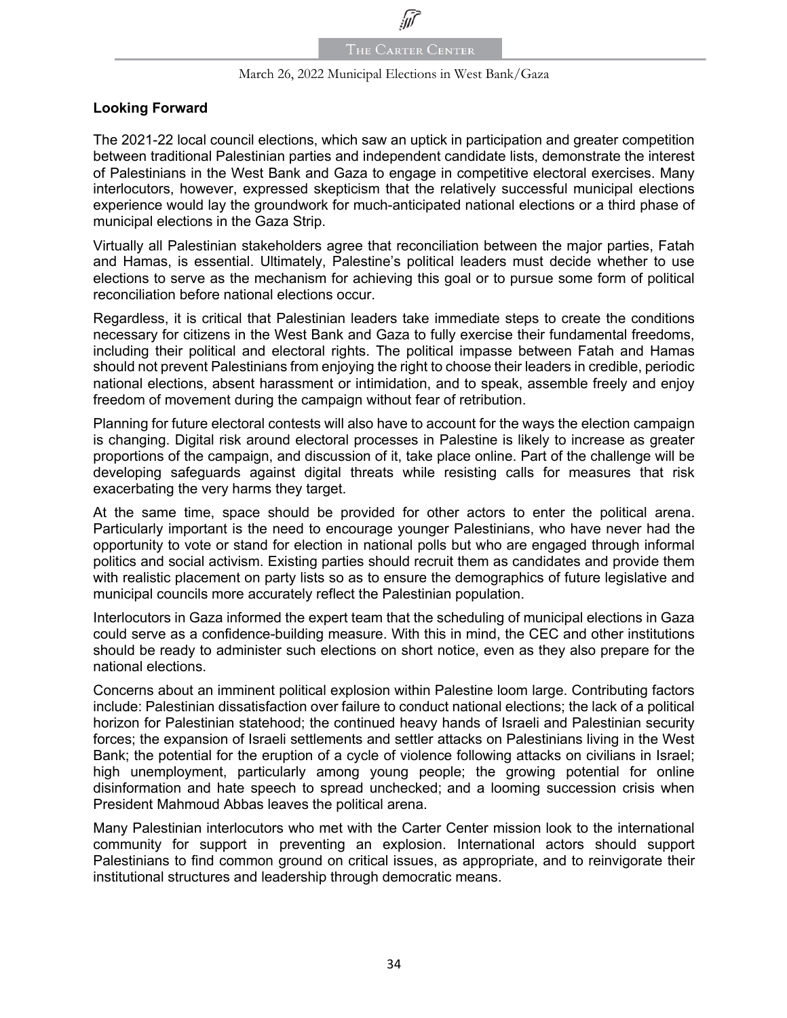#### March 26, 2022 Municipal Elections in West Bank/Gaza

### **Looking Forward**

The 2021-22 local council elections, which saw an uptick in participation and greater competition between traditional Palestinian parties and independent candidate lists, demonstrate the interest of Palestinians in the West Bank and Gaza to engage in competitive electoral exercises. Many interlocutors, however, expressed skepticism that the relatively successful municipal elections experience would lay the groundwork for much-anticipated national elections or a third phase of municipal elections in the Gaza Strip.

Virtually all Palestinian stakeholders agree that reconciliation between the major parties, Fatah and Hamas, is essential. Ultimately, Palestine's political leaders must decide whether to use elections to serve as the mechanism for achieving this goal or to pursue some form of political reconciliation before national elections occur.

Regardless, it is critical that Palestinian leaders take immediate steps to create the conditions necessary for citizens in the West Bank and Gaza to fully exercise their fundamental freedoms, including their political and electoral rights. The political impasse between Fatah and Hamas should not prevent Palestinians from enjoying the right to choose their leaders in credible, periodic national elections, absent harassment or intimidation, and to speak, assemble freely and enjoy freedom of movement during the campaign without fear of retribution.

Planning for future electoral contests will also have to account for the ways the election campaign is changing. Digital risk around electoral processes in Palestine is likely to increase as greater proportions of the campaign, and discussion of it, take place online. Part of the challenge will be developing safeguards against digital threats while resisting calls for measures that risk exacerbating the very harms they target.

At the same time, space should be provided for other actors to enter the political arena. Particularly important is the need to encourage younger Palestinians, who have never had the opportunity to vote or stand for election in national polls but who are engaged through informal politics and social activism. Existing parties should recruit them as candidates and provide them with realistic placement on party lists so as to ensure the demographics of future legislative and municipal councils more accurately reflect the Palestinian population.

Interlocutors in Gaza informed the expert team that the scheduling of municipal elections in Gaza could serve as a confidence-building measure. With this in mind, the CEC and other institutions should be ready to administer such elections on short notice, even as they also prepare for the national elections.

Concerns about an imminent political explosion within Palestine loom large. Contributing factors include: Palestinian dissatisfaction over failure to conduct national elections; the lack of a political horizon for Palestinian statehood; the continued heavy hands of Israeli and Palestinian security forces; the expansion of Israeli settlements and settler attacks on Palestinians living in the West Bank; the potential for the eruption of a cycle of violence following attacks on civilians in Israel; high unemployment, particularly among young people; the growing potential for online disinformation and hate speech to spread unchecked; and a looming succession crisis when President Mahmoud Abbas leaves the political arena.

Many Palestinian interlocutors who met with the Carter Center mission look to the international community for support in preventing an explosion. International actors should support Palestinians to find common ground on critical issues, as appropriate, and to reinvigorate their institutional structures and leadership through democratic means.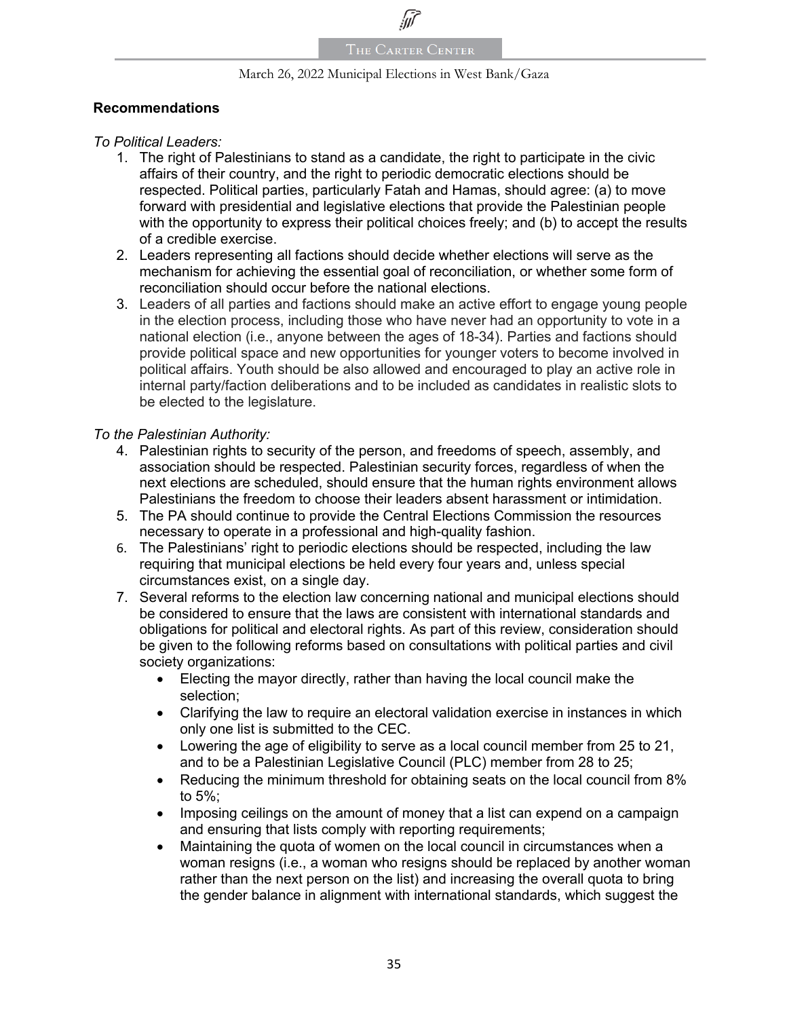### **Recommendations**

*To Political Leaders:* 

- 1. The right of Palestinians to stand as a candidate, the right to participate in the civic affairs of their country, and the right to periodic democratic elections should be respected. Political parties, particularly Fatah and Hamas, should agree: (a) to move forward with presidential and legislative elections that provide the Palestinian people with the opportunity to express their political choices freely; and (b) to accept the results of a credible exercise.
- 2. Leaders representing all factions should decide whether elections will serve as the mechanism for achieving the essential goal of reconciliation, or whether some form of reconciliation should occur before the national elections.
- 3. Leaders of all parties and factions should make an active effort to engage young people in the election process, including those who have never had an opportunity to vote in a national election (i.e., anyone between the ages of 18-34). Parties and factions should provide political space and new opportunities for younger voters to become involved in political affairs. Youth should be also allowed and encouraged to play an active role in internal party/faction deliberations and to be included as candidates in realistic slots to be elected to the legislature.

#### *To the Palestinian Authority:*

- 4. Palestinian rights to security of the person, and freedoms of speech, assembly, and association should be respected. Palestinian security forces, regardless of when the next elections are scheduled, should ensure that the human rights environment allows Palestinians the freedom to choose their leaders absent harassment or intimidation.
- 5. The PA should continue to provide the Central Elections Commission the resources necessary to operate in a professional and high-quality fashion.
- 6. The Palestinians' right to periodic elections should be respected, including the law requiring that municipal elections be held every four years and, unless special circumstances exist, on a single day.
- 7. Several reforms to the election law concerning national and municipal elections should be considered to ensure that the laws are consistent with international standards and obligations for political and electoral rights. As part of this review, consideration should be given to the following reforms based on consultations with political parties and civil society organizations:
	- Electing the mayor directly, rather than having the local council make the selection;
	- Clarifying the law to require an electoral validation exercise in instances in which only one list is submitted to the CEC.
	- Lowering the age of eligibility to serve as a local council member from 25 to 21, and to be a Palestinian Legislative Council (PLC) member from 28 to 25;
	- Reducing the minimum threshold for obtaining seats on the local council from 8% to 5%;
	- Imposing ceilings on the amount of money that a list can expend on a campaign and ensuring that lists comply with reporting requirements;
	- Maintaining the quota of women on the local council in circumstances when a woman resigns (i.e., a woman who resigns should be replaced by another woman rather than the next person on the list) and increasing the overall quota to bring the gender balance in alignment with international standards, which suggest the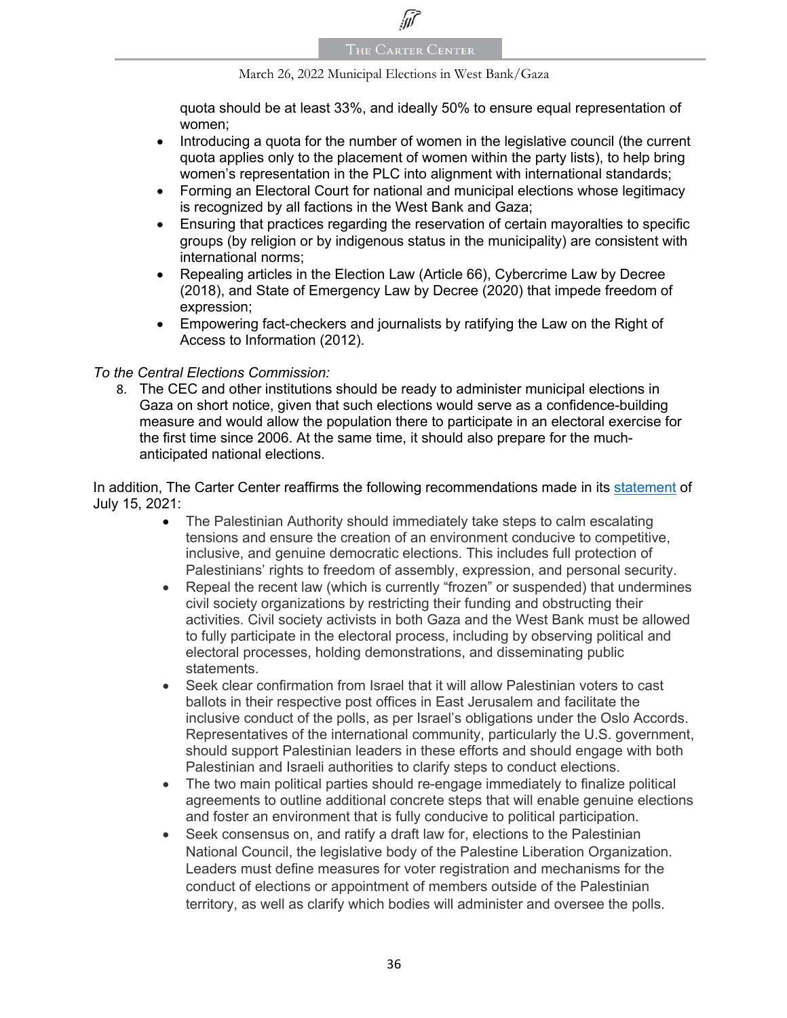quota should be at least 33%, and ideally 50% to ensure equal representation of women;

- Introducing a quota for the number of women in the legislative council (the current quota applies only to the placement of women within the party lists), to help bring women's representation in the PLC into alignment with international standards;
- Forming an Electoral Court for national and municipal elections whose legitimacy is recognized by all factions in the West Bank and Gaza;
- Ensuring that practices regarding the reservation of certain mayoralties to specific groups (by religion or by indigenous status in the municipality) are consistent with international norms;
- Repealing articles in the Election Law (Article 66), Cybercrime Law by Decree (2018), and State of Emergency Law by Decree (2020) that impede freedom of expression;
- Empowering fact-checkers and journalists by ratifying the Law on the Right of Access to Information (2012).

#### *To the Central Elections Commission:*

8. The CEC and other institutions should be ready to administer municipal elections in Gaza on short notice, given that such elections would serve as a confidence-building measure and would allow the population there to participate in an electoral exercise for the first time since 2006. At the same time, it should also prepare for the muchanticipated national elections.

In addition, The Carter Center reaffirms the following recommendations made in its statement of July 15, 2021:

- The Palestinian Authority should immediately take steps to calm escalating tensions and ensure the creation of an environment conducive to competitive, inclusive, and genuine democratic elections. This includes full protection of Palestinians' rights to freedom of assembly, expression, and personal security.
- Repeal the recent law (which is currently "frozen" or suspended) that undermines civil society organizations by restricting their funding and obstructing their activities. Civil society activists in both Gaza and the West Bank must be allowed to fully participate in the electoral process, including by observing political and electoral processes, holding demonstrations, and disseminating public statements.
- Seek clear confirmation from Israel that it will allow Palestinian voters to cast ballots in their respective post offices in East Jerusalem and facilitate the inclusive conduct of the polls, as per Israel's obligations under the Oslo Accords. Representatives of the international community, particularly the U.S. government, should support Palestinian leaders in these efforts and should engage with both Palestinian and Israeli authorities to clarify steps to conduct elections.
- The two main political parties should re-engage immediately to finalize political agreements to outline additional concrete steps that will enable genuine elections and foster an environment that is fully conducive to political participation.
- Seek consensus on, and ratify a draft law for, elections to the Palestinian National Council, the legislative body of the Palestine Liberation Organization. Leaders must define measures for voter registration and mechanisms for the conduct of elections or appointment of members outside of the Palestinian territory, as well as clarify which bodies will administer and oversee the polls.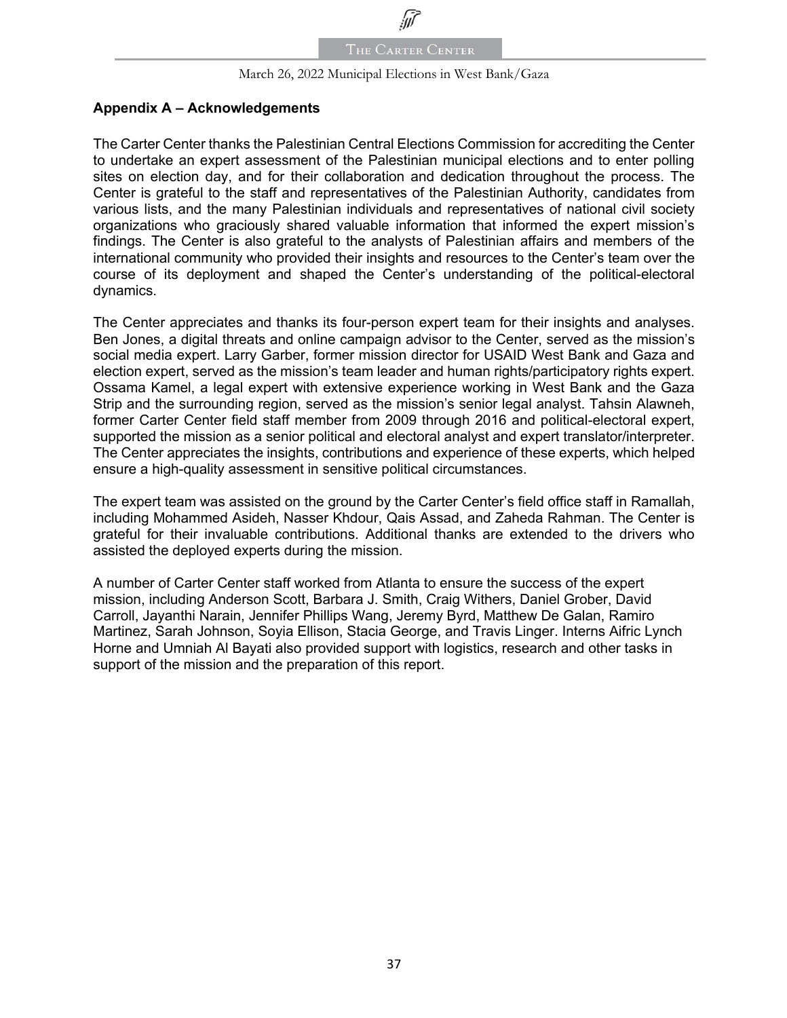

#### March 26, 2022 Municipal Elections in West Bank/Gaza

#### **Appendix A – Acknowledgements**

The Carter Center thanks the Palestinian Central Elections Commission for accrediting the Center to undertake an expert assessment of the Palestinian municipal elections and to enter polling sites on election day, and for their collaboration and dedication throughout the process. The Center is grateful to the staff and representatives of the Palestinian Authority, candidates from various lists, and the many Palestinian individuals and representatives of national civil society organizations who graciously shared valuable information that informed the expert mission's findings. The Center is also grateful to the analysts of Palestinian affairs and members of the international community who provided their insights and resources to the Center's team over the course of its deployment and shaped the Center's understanding of the political-electoral dynamics.

The Center appreciates and thanks its four-person expert team for their insights and analyses. Ben Jones, a digital threats and online campaign advisor to the Center, served as the mission's social media expert. Larry Garber, former mission director for USAID West Bank and Gaza and election expert, served as the mission's team leader and human rights/participatory rights expert. Ossama Kamel, a legal expert with extensive experience working in West Bank and the Gaza Strip and the surrounding region, served as the mission's senior legal analyst. Tahsin Alawneh, former Carter Center field staff member from 2009 through 2016 and political-electoral expert, supported the mission as a senior political and electoral analyst and expert translator/interpreter. The Center appreciates the insights, contributions and experience of these experts, which helped ensure a high-quality assessment in sensitive political circumstances.

The expert team was assisted on the ground by the Carter Center's field office staff in Ramallah, including Mohammed Asideh, Nasser Khdour, Qais Assad, and Zaheda Rahman. The Center is grateful for their invaluable contributions. Additional thanks are extended to the drivers who assisted the deployed experts during the mission.

A number of Carter Center staff worked from Atlanta to ensure the success of the expert mission, including Anderson Scott, Barbara J. Smith, Craig Withers, Daniel Grober, David Carroll, Jayanthi Narain, Jennifer Phillips Wang, Jeremy Byrd, Matthew De Galan, Ramiro Martinez, Sarah Johnson, Soyia Ellison, Stacia George, and Travis Linger. Interns Aifric Lynch Horne and Umniah Al Bayati also provided support with logistics, research and other tasks in support of the mission and the preparation of this report.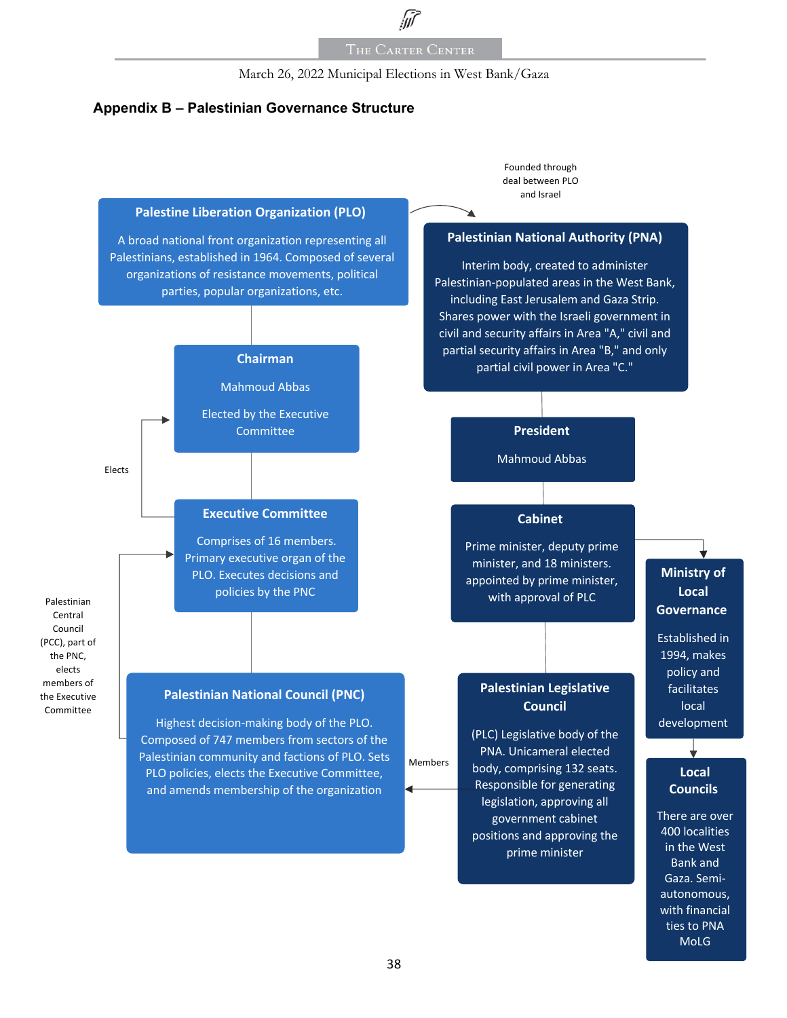#### March 26, 2022 Municipal Elections in West Bank/Gaza

#### **Appendix B – Palestinian Governance Structure**



with financial ties to PNA MoLG